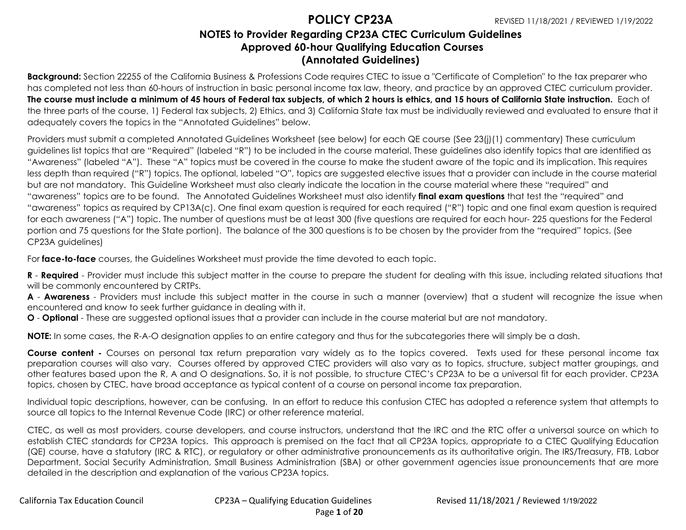## **NOTES to Provider Regarding CP23A CTEC Curriculum Guidelines Approved 60-hour Qualifying Education Courses (Annotated Guidelines)**

**Background:** Section 22255 of the California Business & Professions Code requires CTEC to issue a "Certificate of Completion" to the tax preparer who has completed not less than 60-hours of instruction in basic personal income tax law, theory, and practice by an approved CTEC curriculum provider. **The course must include a minimum of 45 hours of Federal tax subjects, of which 2 hours is ethics, and 15 hours of California State instruction.** Each of the three parts of the course, 1) Federal tax subjects, 2) Ethics, and 3) California State tax must be individually reviewed and evaluated to ensure that it adequately covers the topics in the "Annotated Guidelines" below.

Providers must submit a completed Annotated Guidelines Worksheet (see below) for each QE course (See 23(j)(1) commentary) These curriculum guidelines list topics that are "Required" (labeled "R") to be included in the course material. These guidelines also identify topics that are identified as "Awareness" (labeled "A"). These "A" topics must be covered in the course to make the student aware of the topic and its implication. This requires less depth than required ("R") topics. The optional, labeled "O", topics are suggested elective issues that a provider can include in the course material but are not mandatory. This Guideline Worksheet must also clearly indicate the location in the course material where these "required" and "awareness" topics are to be found. The Annotated Guidelines Worksheet must also identify **final exam questions** that test the "required" and "awareness" topics as required by CP13A(c). One final exam question is required for each required ("R") topic and one final exam question is required for each awareness ("A") topic. The number of questions must be at least 300 (five questions are required for each hour- 225 questions for the Federal portion and 75 questions for the State portion). The balance of the 300 questions is to be chosen by the provider from the "required" topics. (See CP23A guidelines)

For **face-to-face** courses, the Guidelines Worksheet must provide the time devoted to each topic.

**R** - **Required** - Provider must include this subject matter in the course to prepare the student for dealing with this issue, including related situations that will be commonly encountered by CRTPs.

**A** - **Awareness** - Providers must include this subject matter in the course in such a manner (overview) that a student will recognize the issue when encountered and know to seek further guidance in dealing with it.

**O** - **Optional** - These are suggested optional issues that a provider can include in the course material but are not mandatory.

**NOTE:** In some cases, the R-A-O designation applies to an entire category and thus for the subcategories there will simply be a dash.

**Course content -** Courses on personal tax return preparation vary widely as to the topics covered. Texts used for these personal income tax preparation courses will also vary. Courses offered by approved CTEC providers will also vary as to topics, structure, subject matter groupings, and other features based upon the R, A and O designations. So, it is not possible, to structure CTEC's CP23A to be a universal fit for each provider. CP23A topics, chosen by CTEC, have broad acceptance as typical content of a course on personal income tax preparation.

Individual topic descriptions, however, can be confusing. In an effort to reduce this confusion CTEC has adopted a reference system that attempts to source all topics to the Internal Revenue Code (IRC) or other reference material.

CTEC, as well as most providers, course developers, and course instructors, understand that the IRC and the RTC offer a universal source on which to establish CTEC standards for CP23A topics. This approach is premised on the fact that all CP23A topics, appropriate to a CTEC Qualifying Education (QE) course, have a statutory (IRC & RTC), or regulatory or other administrative pronouncements as its authoritative origin. The IRS/Treasury, FTB, Labor Department, Social Security Administration, Small Business Administration (SBA) or other government agencies issue pronouncements that are more detailed in the description and explanation of the various CP23A topics.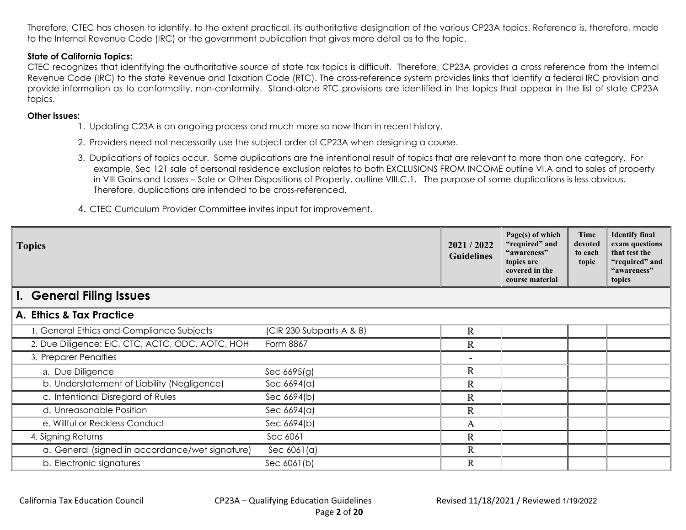Therefore, CTEC has chosen to identify, to the extent practical, its authoritative designation of the various CP23A topics. Reference is, therefore, made to the Internal Revenue Code (IRC) or the government publication that gives more detail as to the topic.

## **State of California Topics:**

CTEC recognizes that identifying the authoritative source of state tax topics is difficult. Therefore, CP23A provides a cross reference from the Internal Revenue Code (IRC) to the state Revenue and Taxation Code (RTC). The cross-reference system provides links that identify a federal IRC provision and provide information as to conformality, non-conformity. Stand-alone RTC provisions are identified in the topics that appear in the list of state CP23A topics.

## **Other issues:**

- 1. Updating C23A is an ongoing process and much more so now than in recent history.
- 2. Providers need not necessarily use the subject order of CP23A when designing a course.
- 3. Duplications of topics occur. Some duplications are the intentional result of topics that are relevant to more than one category. For example, Sec 121 sale of personal residence exclusion relates to both EXCLUSIONS FROM INCOME outline VI.A and to sales of property in VIII Gains and Losses – Sale or Other Dispositions of Property, outline VIII.C.1. The purpose of some duplications is less obvious. Therefore, duplications are intended to be cross-referenced.
- 4. CTEC Curriculum Provider Committee invites input for improvement.

| <b>Topics</b>                                    |                          | 2021/2022<br><b>Guidelines</b> | Page(s) of which<br>"required" and<br>"awareness"<br>topics are<br>covered in the<br>course material | Time<br>devoted<br>to each<br>topic | <b>Identify final</b><br>exam questions<br>that test the<br>"required" and<br>"awareness"<br>topics |
|--------------------------------------------------|--------------------------|--------------------------------|------------------------------------------------------------------------------------------------------|-------------------------------------|-----------------------------------------------------------------------------------------------------|
| I. General Filing Issues                         |                          |                                |                                                                                                      |                                     |                                                                                                     |
| A. Ethics & Tax Practice                         |                          |                                |                                                                                                      |                                     |                                                                                                     |
| 1. General Ethics and Compliance Subjects        | (CIR 230 Subparts A & B) | R                              |                                                                                                      |                                     |                                                                                                     |
| 2. Due Diligence: EIC, CTC, ACTC, ODC, AOTC, HOH | Form 8867                | $\mathbf R$                    |                                                                                                      |                                     |                                                                                                     |
| 3. Preparer Penalties                            |                          |                                |                                                                                                      |                                     |                                                                                                     |
| a. Due Diligence                                 | Sec $6695(g)$            | $\mathbb{R}$                   |                                                                                                      |                                     |                                                                                                     |
| b. Understatement of Liability (Negligence)      | Sec $6694(a)$            | $\mathbb{R}$                   |                                                                                                      |                                     |                                                                                                     |
| c. Intentional Disregard of Rules                | Sec 6694(b)              | $\mathbf R$                    |                                                                                                      |                                     |                                                                                                     |
| d. Unreasonable Position                         | Sec $6694(a)$            | $\mathbb{R}$                   |                                                                                                      |                                     |                                                                                                     |
| e. Willful or Reckless Conduct                   | Sec 6694(b)              | A                              |                                                                                                      |                                     |                                                                                                     |
| 4. Signing Returns                               | Sec 6061                 | $\mathbb{R}$                   |                                                                                                      |                                     |                                                                                                     |
| a. General (signed in accordance/wet signature)  | sec 6061(a)              | $\mathbb{R}$                   |                                                                                                      |                                     |                                                                                                     |
| b. Electronic signatures                         | Sec 6061(b)              | R                              |                                                                                                      |                                     |                                                                                                     |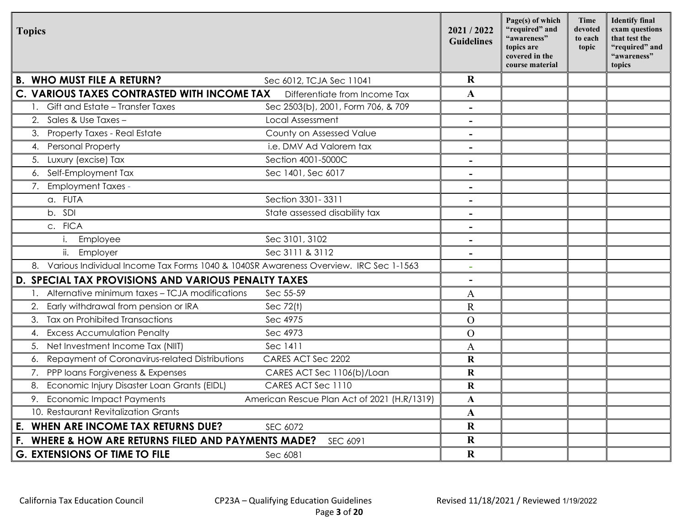| <b>Topics</b>                                                                           |                                             | 2021/2022<br><b>Guidelines</b> | Page(s) of which<br>"required" and<br>"awareness"<br>topics are<br>covered in the<br>course material | Time<br>devoted<br>to each<br>topic | <b>Identify final</b><br>exam questions<br>that test the<br>"required" and<br>"awareness"<br>topics |
|-----------------------------------------------------------------------------------------|---------------------------------------------|--------------------------------|------------------------------------------------------------------------------------------------------|-------------------------------------|-----------------------------------------------------------------------------------------------------|
| <b>B. WHO MUST FILE A RETURN?</b>                                                       | Sec 6012, TCJA Sec 11041                    | $\bf{R}$                       |                                                                                                      |                                     |                                                                                                     |
| C. VARIOUS TAXES CONTRASTED WITH INCOME TAX                                             | Differentiate from Income Tax               | $\mathbf{A}$                   |                                                                                                      |                                     |                                                                                                     |
| 1. Gift and Estate - Transfer Taxes                                                     | Sec 2503(b), 2001, Form 706, & 709          | $\overline{\phantom{a}}$       |                                                                                                      |                                     |                                                                                                     |
| 2. Sales & Use Taxes -                                                                  | <b>Local Assessment</b>                     |                                |                                                                                                      |                                     |                                                                                                     |
| 3. Property Taxes - Real Estate                                                         | County on Assessed Value                    | $\blacksquare$                 |                                                                                                      |                                     |                                                                                                     |
| 4. Personal Property                                                                    | i.e. DMV Ad Valorem tax                     | $\overline{\phantom{a}}$       |                                                                                                      |                                     |                                                                                                     |
| 5. Luxury (excise) Tax                                                                  | Section 4001-5000C                          |                                |                                                                                                      |                                     |                                                                                                     |
| 6. Self-Employment Tax                                                                  | Sec 1401, Sec 6017                          | $\overline{\phantom{a}}$       |                                                                                                      |                                     |                                                                                                     |
| 7. Employment Taxes -                                                                   |                                             |                                |                                                                                                      |                                     |                                                                                                     |
| a. FUTA                                                                                 | Section 3301-3311                           | $\overline{\phantom{a}}$       |                                                                                                      |                                     |                                                                                                     |
| b. SDI                                                                                  | State assessed disability tax               |                                |                                                                                                      |                                     |                                                                                                     |
| c. FICA                                                                                 |                                             |                                |                                                                                                      |                                     |                                                                                                     |
| i.<br>Employee                                                                          | Sec 3101, 3102                              | $\blacksquare$                 |                                                                                                      |                                     |                                                                                                     |
| ii. Employer                                                                            | Sec 3111 & 3112                             |                                |                                                                                                      |                                     |                                                                                                     |
| 8. Various Individual Income Tax Forms 1040 & 1040SR Awareness Overview. IRC Sec 1-1563 |                                             | ٠                              |                                                                                                      |                                     |                                                                                                     |
| D. SPECIAL TAX PROVISIONS AND VARIOUS PENALTY TAXES                                     |                                             | $\blacksquare$                 |                                                                                                      |                                     |                                                                                                     |
| 1. Alternative minimum taxes - TCJA modifications                                       | Sec 55-59                                   | $\mathbf{A}$                   |                                                                                                      |                                     |                                                                                                     |
| Early withdrawal from pension or IRA<br>2.                                              | Sec 72(t)                                   | $\mathbf R$                    |                                                                                                      |                                     |                                                                                                     |
| <b>Tax on Prohibited Transactions</b><br>3.                                             | Sec 4975                                    | $\Omega$                       |                                                                                                      |                                     |                                                                                                     |
| <b>Excess Accumulation Penalty</b><br>4.                                                | Sec 4973                                    | $\Omega$                       |                                                                                                      |                                     |                                                                                                     |
| 5. Net Investment Income Tax (NIIT)                                                     | Sec 1411                                    | $\mathbf{A}$                   |                                                                                                      |                                     |                                                                                                     |
| Repayment of Coronavirus-related Distributions<br>6.                                    | CARES ACT Sec 2202                          | $\bf R$                        |                                                                                                      |                                     |                                                                                                     |
| 7. PPP loans Forgiveness & Expenses                                                     | CARES ACT Sec 1106(b)/Loan                  | $\bf R$                        |                                                                                                      |                                     |                                                                                                     |
| Economic Injury Disaster Loan Grants (EIDL)<br>8.                                       | CARES ACT Sec 1110                          | $\bf R$                        |                                                                                                      |                                     |                                                                                                     |
| <b>Economic Impact Payments</b><br>9.                                                   | American Rescue Plan Act of 2021 (H.R/1319) | A                              |                                                                                                      |                                     |                                                                                                     |
| 10. Restaurant Revitalization Grants                                                    |                                             | $\mathbf A$                    |                                                                                                      |                                     |                                                                                                     |
| E. WHEN ARE INCOME TAX RETURNS DUE?                                                     | SEC 6072                                    | $\mathbf R$                    |                                                                                                      |                                     |                                                                                                     |
| F. WHERE & HOW ARE RETURNS FILED AND PAYMENTS MADE?                                     | SEC 6091                                    | $\mathbf R$                    |                                                                                                      |                                     |                                                                                                     |
| <b>G. EXTENSIONS OF TIME TO FILE</b>                                                    | Sec 6081                                    | $\mathbf R$                    |                                                                                                      |                                     |                                                                                                     |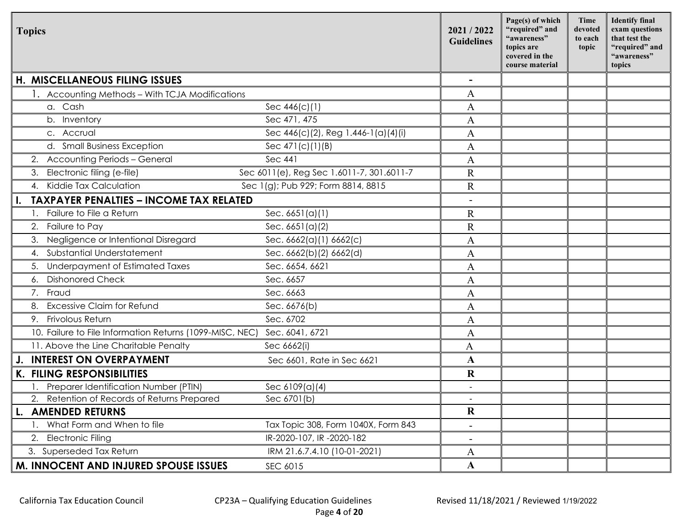| <b>Topics</b>                                            |                                           | 2021/2022<br><b>Guidelines</b> | Page(s) of which<br>"required" and<br>"awareness"<br>topics are<br>covered in the<br>course material | Time<br>devoted<br>to each<br>topic | <b>Identify final</b><br>exam questions<br>that test the<br>"required" and<br>"awareness"<br>topics |
|----------------------------------------------------------|-------------------------------------------|--------------------------------|------------------------------------------------------------------------------------------------------|-------------------------------------|-----------------------------------------------------------------------------------------------------|
| <b>H. MISCELLANEOUS FILING ISSUES</b>                    |                                           |                                |                                                                                                      |                                     |                                                                                                     |
| 1. Accounting Methods – With TCJA Modifications          |                                           | A                              |                                                                                                      |                                     |                                                                                                     |
| a. Cash                                                  | Sec $446(c)(1)$                           | A                              |                                                                                                      |                                     |                                                                                                     |
| b. Inventory                                             | Sec 471, 475                              | $\mathbf{A}$                   |                                                                                                      |                                     |                                                                                                     |
| c. Accrual                                               | Sec $446(c)(2)$ , Reg 1.446-1(a)(4)(i)    | A                              |                                                                                                      |                                     |                                                                                                     |
| d. Small Business Exception                              | Sec 471(c)(1)(B)                          | A                              |                                                                                                      |                                     |                                                                                                     |
| 2. Accounting Periods - General                          | Sec 441                                   | $\mathbf{A}$                   |                                                                                                      |                                     |                                                                                                     |
| 3. Electronic filing (e-file)                            | Sec 6011(e), Reg Sec 1.6011-7, 301.6011-7 | $\mathbf R$                    |                                                                                                      |                                     |                                                                                                     |
| 4. Kiddie Tax Calculation                                | Sec 1(g); Pub 929; Form 8814, 8815        | $\mathbf R$                    |                                                                                                      |                                     |                                                                                                     |
| <b>TAXPAYER PENALTIES - INCOME TAX RELATED</b>           |                                           | $\overline{\phantom{a}}$       |                                                                                                      |                                     |                                                                                                     |
| 1. Failure to File a Return                              | Sec. $6651(a)(1)$                         | $\mathbb{R}$                   |                                                                                                      |                                     |                                                                                                     |
| 2. Failure to Pay                                        | Sec. $6651(a)(2)$                         | $\mathbb{R}$                   |                                                                                                      |                                     |                                                                                                     |
| 3. Negligence or Intentional Disregard                   | Sec. 6662(a)(1) 6662(c)                   | A                              |                                                                                                      |                                     |                                                                                                     |
| 4. Substantial Understatement                            | Sec. 6662(b)(2) 6662(d)                   | A                              |                                                                                                      |                                     |                                                                                                     |
| 5. Underpayment of Estimated Taxes                       | Sec. 6654, 6621                           | A                              |                                                                                                      |                                     |                                                                                                     |
| 6. Dishonored Check                                      | Sec. 6657                                 | $\mathbf{A}$                   |                                                                                                      |                                     |                                                                                                     |
| 7. Fraud                                                 | Sec. 6663                                 | A                              |                                                                                                      |                                     |                                                                                                     |
| <b>Excessive Claim for Refund</b><br>8.                  | Sec. 6676(b)                              | A                              |                                                                                                      |                                     |                                                                                                     |
| 9. Frivolous Return                                      | Sec. 6702                                 | A                              |                                                                                                      |                                     |                                                                                                     |
| 10. Failure to File Information Returns (1099-MISC, NEC) | Sec. 6041, 6721                           | A                              |                                                                                                      |                                     |                                                                                                     |
| 11. Above the Line Charitable Penalty                    | Sec 6662(i)                               | $\mathbf{A}$                   |                                                                                                      |                                     |                                                                                                     |
| <b>INTEREST ON OVERPAYMENT</b>                           | Sec 6601, Rate in Sec 6621                | A                              |                                                                                                      |                                     |                                                                                                     |
| <b>K. FILING RESPONSIBILITIES</b>                        |                                           | $\mathbf R$                    |                                                                                                      |                                     |                                                                                                     |
| Preparer Identification Number (PTIN)                    | Sec $6109(a)(4)$                          | $\blacksquare$                 |                                                                                                      |                                     |                                                                                                     |
| 2.<br>Retention of Records of Returns Prepared           | Sec 6701(b)                               |                                |                                                                                                      |                                     |                                                                                                     |
| L. AMENDED RETURNS                                       |                                           | $\bf R$                        |                                                                                                      |                                     |                                                                                                     |
| 1. What Form and When to file                            | Tax Topic 308, Form 1040X, Form 843       | $\overline{\phantom{0}}$       |                                                                                                      |                                     |                                                                                                     |
| 2. Electronic Filing                                     | IR-2020-107, IR-2020-182                  | -                              |                                                                                                      |                                     |                                                                                                     |
| 3. Superseded Tax Return                                 | IRM 21.6.7.4.10 (10-01-2021)              | $\mathbf{A}$                   |                                                                                                      |                                     |                                                                                                     |
| M. INNOCENT AND INJURED SPOUSE ISSUES                    | SEC 6015                                  | $\mathbf A$                    |                                                                                                      |                                     |                                                                                                     |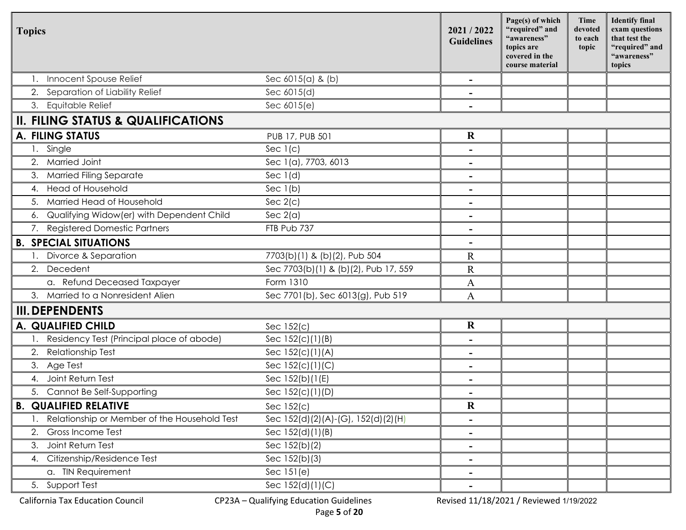| <b>Topics</b> |                                               |                                         | 2021/2022<br><b>Guidelines</b> | Page(s) of which<br>"required" and<br>"awareness"<br>topics are<br>covered in the<br>course material | Time<br>devoted<br>to each<br>topic | <b>Identify final</b><br>exam questions<br>that test the<br>"required" and<br>"awareness"<br>topics |
|---------------|-----------------------------------------------|-----------------------------------------|--------------------------------|------------------------------------------------------------------------------------------------------|-------------------------------------|-----------------------------------------------------------------------------------------------------|
|               | 1. Innocent Spouse Relief                     | Sec $6015(a)$ & $(b)$                   | $\overline{\phantom{a}}$       |                                                                                                      |                                     |                                                                                                     |
|               | 2. Separation of Liability Relief             | Sec 6015(d)                             | $\blacksquare$                 |                                                                                                      |                                     |                                                                                                     |
|               | 3. Equitable Relief                           | Sec 6015(e)                             | $\overline{\phantom{a}}$       |                                                                                                      |                                     |                                                                                                     |
|               | <b>II. FILING STATUS &amp; QUALIFICATIONS</b> |                                         |                                |                                                                                                      |                                     |                                                                                                     |
|               | A. FILING STATUS                              | PUB 17, PUB 501                         | $\mathbf R$                    |                                                                                                      |                                     |                                                                                                     |
|               | 1. Single                                     | Sec $1(c)$                              | $\overline{\phantom{a}}$       |                                                                                                      |                                     |                                                                                                     |
| 2.            | <b>Married Joint</b>                          | Sec 1(a), 7703, 6013                    | $\overline{\phantom{a}}$       |                                                                                                      |                                     |                                                                                                     |
| 3.            | <b>Married Filing Separate</b>                | Sec $1(d)$                              | $\overline{\phantom{a}}$       |                                                                                                      |                                     |                                                                                                     |
| 4.            | <b>Head of Household</b>                      | Sec $1(b)$                              | -                              |                                                                                                      |                                     |                                                                                                     |
| 5.            | Married Head of Household                     | Sec $2(c)$                              | $\overline{\phantom{a}}$       |                                                                                                      |                                     |                                                                                                     |
|               | 6. Qualifying Widow(er) with Dependent Child  | Sec 2(a)                                | ۰                              |                                                                                                      |                                     |                                                                                                     |
|               | 7. Registered Domestic Partners               | FTB Pub 737                             | ۰                              |                                                                                                      |                                     |                                                                                                     |
|               | <b>B. SPECIAL SITUATIONS</b>                  |                                         | $\blacksquare$                 |                                                                                                      |                                     |                                                                                                     |
|               | 1. Divorce & Separation                       | 7703(b)(1) & (b)(2), Pub 504            | $\mathbb{R}$                   |                                                                                                      |                                     |                                                                                                     |
|               | 2. Decedent                                   | Sec 7703(b)(1) & (b)(2), Pub 17, 559    | $\mathbb{R}$                   |                                                                                                      |                                     |                                                                                                     |
|               | a. Refund Deceased Taxpayer                   | Form 1310                               | A                              |                                                                                                      |                                     |                                                                                                     |
|               | 3. Married to a Nonresident Alien             | Sec 7701(b), Sec 6013(g), Pub 519       | A                              |                                                                                                      |                                     |                                                                                                     |
|               | <b>III. DEPENDENTS</b>                        |                                         |                                |                                                                                                      |                                     |                                                                                                     |
|               | A. QUALIFIED CHILD                            | Sec 152(c)                              | $\mathbf R$                    |                                                                                                      |                                     |                                                                                                     |
|               | 1. Residency Test (Principal place of abode)  | Sec 152(c)(1)(B)                        | $\overline{\phantom{a}}$       |                                                                                                      |                                     |                                                                                                     |
|               | 2. Relationship Test                          | Sec 152(c)(1)(A)                        | $\overline{\phantom{a}}$       |                                                                                                      |                                     |                                                                                                     |
|               | 3. Age Test                                   | Sec 152(c)(1)(C)                        | $\overline{\phantom{a}}$       |                                                                                                      |                                     |                                                                                                     |
|               | 4. Joint Return Test                          | Sec 152(b)(1(E)                         | $\overline{\phantom{a}}$       |                                                                                                      |                                     |                                                                                                     |
|               | 5. Cannot Be Self-Supporting                  | Sec 152(c)(1)(D)                        | $\overline{\phantom{a}}$       |                                                                                                      |                                     |                                                                                                     |
|               | <b>B. QUALIFIED RELATIVE</b>                  | Sec 152(c)                              | $\mathbf R$                    |                                                                                                      |                                     |                                                                                                     |
|               | Relationship or Member of the Household Test  | Sec 152(d)(2)(A)-(G), 152(d)(2)(H)      | $\overline{\phantom{a}}$       |                                                                                                      |                                     |                                                                                                     |
| 2.            | Gross Income Test                             | Sec 152(d)(1)(B)                        | -                              |                                                                                                      |                                     |                                                                                                     |
| 3.            | Joint Return Test                             | Sec 152(b)(2)                           | $\overline{\phantom{a}}$       |                                                                                                      |                                     |                                                                                                     |
|               | 4. Citizenship/Residence Test                 | Sec 152(b)(3)                           | ۰                              |                                                                                                      |                                     |                                                                                                     |
|               | a. TIN Requirement                            | Sec $151(e)$                            |                                |                                                                                                      |                                     |                                                                                                     |
|               | 5. Support Test                               | Sec 152(d)(1)(C)                        | $\blacksquare$                 |                                                                                                      |                                     |                                                                                                     |
|               | California Tax Education Council              | CP23A - Qualifying Education Guidelines |                                | Revised 11/18/2021 / Reviewed 1/19/2022                                                              |                                     |                                                                                                     |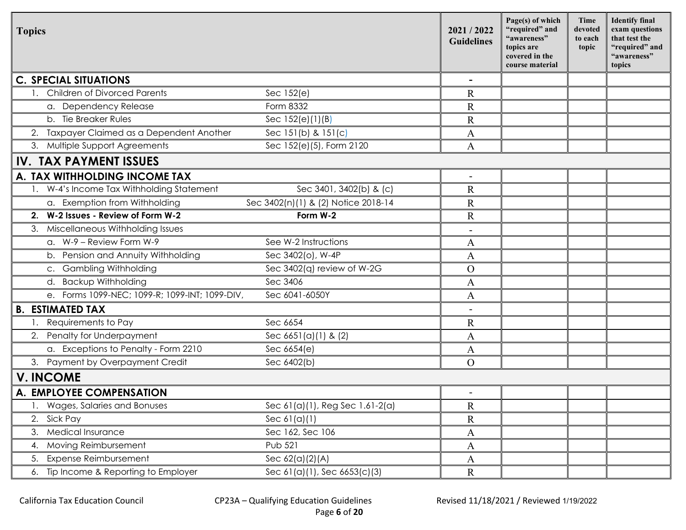| <b>Topics</b>                                  |                                      | 2021/2022<br><b>Guidelines</b> | Page(s) of which<br>"required" and<br>"awareness"<br>topics are<br>covered in the<br>course material | Time<br>devoted<br>to each<br>topic | <b>Identify final</b><br>exam questions<br>that test the<br>"required" and<br>"awareness"<br>topics |
|------------------------------------------------|--------------------------------------|--------------------------------|------------------------------------------------------------------------------------------------------|-------------------------------------|-----------------------------------------------------------------------------------------------------|
| <b>C. SPECIAL SITUATIONS</b>                   |                                      |                                |                                                                                                      |                                     |                                                                                                     |
| 1. Children of Divorced Parents                | Sec 152(e)                           | $\mathbb{R}$                   |                                                                                                      |                                     |                                                                                                     |
| a. Dependency Release                          | Form 8332                            | $\mathbb{R}$                   |                                                                                                      |                                     |                                                                                                     |
| b. Tie Breaker Rules                           | Sec 152(e)(1)(B)                     | $\mathbf R$                    |                                                                                                      |                                     |                                                                                                     |
| Taxpayer Claimed as a Dependent Another<br>2.  | Sec 151(b) & 151(c)                  | A                              |                                                                                                      |                                     |                                                                                                     |
| 3. Multiple Support Agreements                 | Sec 152(e)(5), Form 2120             | A                              |                                                                                                      |                                     |                                                                                                     |
| IV. TAX PAYMENT ISSUES                         |                                      |                                |                                                                                                      |                                     |                                                                                                     |
| A. TAX WITHHOLDING INCOME TAX                  |                                      | $\overline{\phantom{a}}$       |                                                                                                      |                                     |                                                                                                     |
| 1. W-4's Income Tax Withholding Statement      | Sec 3401, 3402(b) & (c)              | $\mathbb{R}$                   |                                                                                                      |                                     |                                                                                                     |
| a. Exemption from Withholding                  | Sec 3402(n)(1) & (2) Notice 2018-14  | $\mathbf R$                    |                                                                                                      |                                     |                                                                                                     |
| 2. W-2 Issues - Review of Form W-2             | Form W-2                             | $\mathbf R$                    |                                                                                                      |                                     |                                                                                                     |
| 3. Miscellaneous Withholding Issues            |                                      |                                |                                                                                                      |                                     |                                                                                                     |
| a. W-9 - Review Form W-9                       | See W-2 Instructions                 | A                              |                                                                                                      |                                     |                                                                                                     |
| b. Pension and Annuity Withholding             | Sec 3402(o), W-4P                    | A                              |                                                                                                      |                                     |                                                                                                     |
| c. Gambling Withholding                        | Sec 3402(q) review of W-2G           | $\Omega$                       |                                                                                                      |                                     |                                                                                                     |
| d. Backup Withholding                          | Sec 3406                             | $\mathbf{A}$                   |                                                                                                      |                                     |                                                                                                     |
| e. Forms 1099-NEC; 1099-R; 1099-INT; 1099-DIV, | Sec 6041-6050Y                       | A                              |                                                                                                      |                                     |                                                                                                     |
| <b>B. ESTIMATED TAX</b>                        |                                      |                                |                                                                                                      |                                     |                                                                                                     |
| . Requirements to Pay                          | Sec 6654                             | $\mathbb{R}$                   |                                                                                                      |                                     |                                                                                                     |
| 2. Penalty for Underpayment                    | Sec $6651(a)(1)$ & $(2)$             | A                              |                                                                                                      |                                     |                                                                                                     |
| a. Exceptions to Penalty - Form 2210           | Sec 6654(e)                          | A                              |                                                                                                      |                                     |                                                                                                     |
| 3. Payment by Overpayment Credit               | Sec 6402(b)                          | $\Omega$                       |                                                                                                      |                                     |                                                                                                     |
| <b>V. INCOME</b>                               |                                      |                                |                                                                                                      |                                     |                                                                                                     |
| A. EMPLOYEE COMPENSATION                       |                                      | $\blacksquare$                 |                                                                                                      |                                     |                                                                                                     |
| Wages, Salaries and Bonuses                    | Sec $61(a)(1)$ , Reg Sec $1.61-2(a)$ | $\mathbf R$                    |                                                                                                      |                                     |                                                                                                     |
| 2. Sick Pay                                    | Sec 61(a)(1)                         | $\mathbf R$                    |                                                                                                      |                                     |                                                                                                     |
| 3. Medical Insurance                           | Sec 162, Sec 106                     | $\mathbf{A}$                   |                                                                                                      |                                     |                                                                                                     |
| 4. Moving Reimbursement                        | Pub 521                              | A                              |                                                                                                      |                                     |                                                                                                     |
| 5. Expense Reimbursement                       | Sec $62(a)(2)(A)$                    | $\mathbf{A}$                   |                                                                                                      |                                     |                                                                                                     |
| 6. Tip Income & Reporting to Employer          | Sec $61(a)(1)$ , Sec $6653(c)(3)$    | $\mathbf R$                    |                                                                                                      |                                     |                                                                                                     |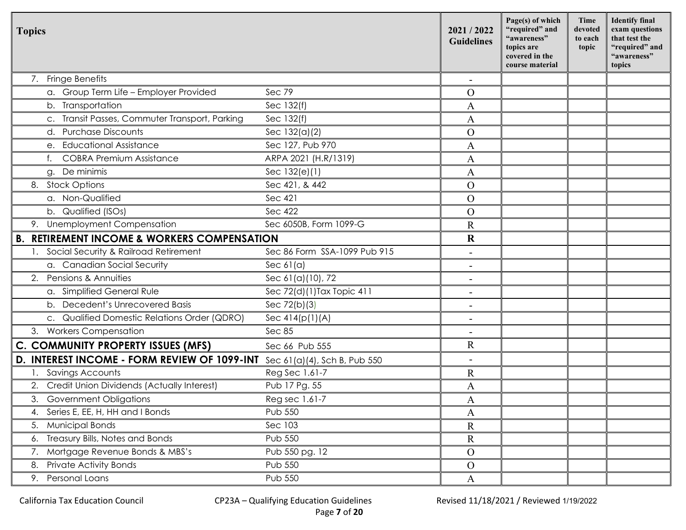| <b>Topics</b>                                                             | 2021/2022<br><b>Guidelines</b> | Page(s) of which<br>"required" and<br>"awareness"<br>topics are<br>covered in the<br>course material | Time<br>devoted<br>to each<br>topic | <b>Identify final</b><br>exam questions<br>that test the<br>"required" and<br>"awareness"<br>topics |
|---------------------------------------------------------------------------|--------------------------------|------------------------------------------------------------------------------------------------------|-------------------------------------|-----------------------------------------------------------------------------------------------------|
| 7. Fringe Benefits                                                        |                                |                                                                                                      |                                     |                                                                                                     |
| a. Group Term Life - Employer Provided<br>Sec 79                          | $\Omega$                       |                                                                                                      |                                     |                                                                                                     |
| b. Transportation<br>Sec 132(f)                                           | A                              |                                                                                                      |                                     |                                                                                                     |
| c. Transit Passes, Commuter Transport, Parking<br>Sec 132(f)              | $\mathbf{A}$                   |                                                                                                      |                                     |                                                                                                     |
| d. Purchase Discounts<br>Sec $132(a)(2)$                                  | $\Omega$                       |                                                                                                      |                                     |                                                                                                     |
| Sec 127, Pub 970<br>e. Educational Assistance                             | A                              |                                                                                                      |                                     |                                                                                                     |
| <b>COBRA Premium Assistance</b><br>ARPA 2021 (H.R/1319)                   | A                              |                                                                                                      |                                     |                                                                                                     |
| g. De minimis<br>Sec 132(e)(1)                                            | $\mathbf{A}$                   |                                                                                                      |                                     |                                                                                                     |
| Sec 421, & 442<br><b>Stock Options</b><br>8.                              | $\mathbf O$                    |                                                                                                      |                                     |                                                                                                     |
| a. Non-Qualified<br>Sec 421                                               | $\Omega$                       |                                                                                                      |                                     |                                                                                                     |
| b. Qualified (ISOs)<br>Sec 422                                            | $\mathbf O$                    |                                                                                                      |                                     |                                                                                                     |
| 9. Unemployment Compensation<br>Sec 6050B, Form 1099-G                    | $\mathbf R$                    |                                                                                                      |                                     |                                                                                                     |
| <b>B. RETIREMENT INCOME &amp; WORKERS COMPENSATION</b>                    | $\mathbf R$                    |                                                                                                      |                                     |                                                                                                     |
| Sec 86 Form SSA-1099 Pub 915<br>1. Social Security & Railroad Retirement  | $\overline{\phantom{a}}$       |                                                                                                      |                                     |                                                                                                     |
| a. Canadian Social Security<br>Sec $61(a)$                                | $\blacksquare$                 |                                                                                                      |                                     |                                                                                                     |
| Pensions & Annuities<br>Sec 61(a)(10), 72<br>2.                           | $\overline{\phantom{a}}$       |                                                                                                      |                                     |                                                                                                     |
| a. Simplified General Rule<br>Sec 72(d)(1)Tax Topic 411                   | $\overline{\phantom{a}}$       |                                                                                                      |                                     |                                                                                                     |
| b. Decedent's Unrecovered Basis<br>Sec 72(b)(3)                           | $\overline{\phantom{a}}$       |                                                                                                      |                                     |                                                                                                     |
| c. Qualified Domestic Relations Order (QDRO)<br>Sec 414(p(1)(A))          |                                |                                                                                                      |                                     |                                                                                                     |
| 3. Workers Compensation<br>Sec 85                                         | $\overline{\phantom{a}}$       |                                                                                                      |                                     |                                                                                                     |
| C. COMMUNITY PROPERTY ISSUES (MFS)<br>Sec 66 Pub 555                      | $\mathbf R$                    |                                                                                                      |                                     |                                                                                                     |
| D. INTEREST INCOME - FORM REVIEW OF 1099-INT Sec 61(a)(4), Sch B, Pub 550 | $\blacksquare$                 |                                                                                                      |                                     |                                                                                                     |
| Reg Sec 1.61-7<br>1. Savings Accounts                                     | $\mathbf R$                    |                                                                                                      |                                     |                                                                                                     |
| 2. Credit Union Dividends (Actually Interest)<br>Pub 17 Pg. 55            | A                              |                                                                                                      |                                     |                                                                                                     |
| 3.<br><b>Government Obligations</b><br>Reg sec 1.61-7                     | $\mathbf{A}$                   |                                                                                                      |                                     |                                                                                                     |
| 4. Series E, EE, H, HH and I Bonds<br><b>Pub 550</b>                      | $\mathbf{A}$                   |                                                                                                      |                                     |                                                                                                     |
| 5. Municipal Bonds<br>Sec 103                                             | $\mathbf R$                    |                                                                                                      |                                     |                                                                                                     |
| 6. Treasury Bills, Notes and Bonds<br><b>Pub 550</b>                      | ${\bf R}$                      |                                                                                                      |                                     |                                                                                                     |
| 7. Mortgage Revenue Bonds & MBS's<br>Pub 550 pg. 12                       | $\mathbf{O}$                   |                                                                                                      |                                     |                                                                                                     |
| <b>Private Activity Bonds</b><br>Pub 550<br>8.                            | $\overline{O}$                 |                                                                                                      |                                     |                                                                                                     |
| <b>Pub 550</b><br>9. Personal Loans                                       | $\mathbf{A}$                   |                                                                                                      |                                     |                                                                                                     |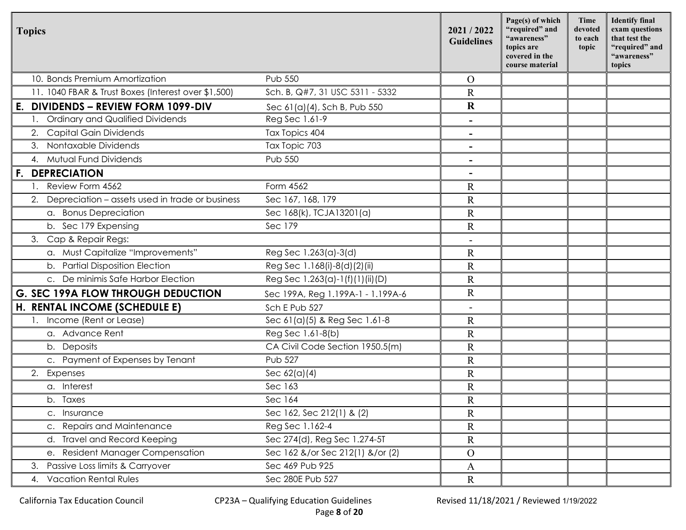| <b>Topics</b>                                       |                                   | 2021/2022<br><b>Guidelines</b> | Page(s) of which<br>"required" and<br>"awareness"<br>topics are<br>covered in the<br>course material | Time<br>devoted<br>to each<br>topic | <b>Identify final</b><br>exam questions<br>that test the<br>"required" and<br>"awareness"<br>topics |
|-----------------------------------------------------|-----------------------------------|--------------------------------|------------------------------------------------------------------------------------------------------|-------------------------------------|-----------------------------------------------------------------------------------------------------|
| 10. Bonds Premium Amortization                      | <b>Pub 550</b>                    | $\Omega$                       |                                                                                                      |                                     |                                                                                                     |
| 11. 1040 FBAR & Trust Boxes (Interest over \$1,500) | Sch. B, Q#7, 31 USC 5311 - 5332   | $\mathbb{R}$                   |                                                                                                      |                                     |                                                                                                     |
| E. DIVIDENDS - REVIEW FORM 1099-DIV                 | Sec 61(a)(4), Sch B, Pub 550      | $\mathbf R$                    |                                                                                                      |                                     |                                                                                                     |
| 1. Ordinary and Qualified Dividends                 | Reg Sec 1.61-9                    | $\blacksquare$                 |                                                                                                      |                                     |                                                                                                     |
| <b>Capital Gain Dividends</b><br>2.                 | Tax Topics 404                    | $\overline{\phantom{a}}$       |                                                                                                      |                                     |                                                                                                     |
| 3. Nontaxable Dividends                             | Tax Topic 703                     | $\overline{\phantom{a}}$       |                                                                                                      |                                     |                                                                                                     |
| 4. Mutual Fund Dividends                            | <b>Pub 550</b>                    | $\overline{\phantom{a}}$       |                                                                                                      |                                     |                                                                                                     |
| <b>F. DEPRECIATION</b>                              |                                   |                                |                                                                                                      |                                     |                                                                                                     |
| 1. Review Form 4562                                 | Form 4562                         | $\mathbf R$                    |                                                                                                      |                                     |                                                                                                     |
| 2. Depreciation - assets used in trade or business  | Sec 167, 168, 179                 | $\mathbb{R}$                   |                                                                                                      |                                     |                                                                                                     |
| a. Bonus Depreciation                               | Sec 168(k), TCJA13201(a)          | $\mathbf R$                    |                                                                                                      |                                     |                                                                                                     |
| b. Sec 179 Expensing                                | Sec 179                           | $\mathbf R$                    |                                                                                                      |                                     |                                                                                                     |
| 3. Cap & Repair Regs:                               |                                   | $\overline{\phantom{a}}$       |                                                                                                      |                                     |                                                                                                     |
| a. Must Capitalize "Improvements"                   | Reg Sec 1.263(a)-3(d)             | R                              |                                                                                                      |                                     |                                                                                                     |
| b. Partial Disposition Election                     | Reg Sec 1.168(i)-8(d)(2)(ii)      | $\mathbb{R}$                   |                                                                                                      |                                     |                                                                                                     |
| c. De minimis Safe Harbor Election                  | Reg Sec $1.263(a)-1(f)(1)(ii)(D)$ | $\mathbb{R}$                   |                                                                                                      |                                     |                                                                                                     |
| <b>G. SEC 199A FLOW THROUGH DEDUCTION</b>           | Sec 199A, Reg 1.199A-1 - 1.199A-6 | $\mathbf R$                    |                                                                                                      |                                     |                                                                                                     |
| H. RENTAL INCOME (SCHEDULE E)                       | Sch E Pub 527                     |                                |                                                                                                      |                                     |                                                                                                     |
| Income (Rent or Lease)                              | Sec 61(a)(5) & Reg Sec 1.61-8     | R                              |                                                                                                      |                                     |                                                                                                     |
| a. Advance Rent                                     | Reg Sec 1.61-8(b)                 | $\mathbf R$                    |                                                                                                      |                                     |                                                                                                     |
| b. Deposits                                         | CA Civil Code Section 1950.5(m)   | $\mathbb{R}$                   |                                                                                                      |                                     |                                                                                                     |
| c. Payment of Expenses by Tenant                    | <b>Pub 527</b>                    | $\mathbf R$                    |                                                                                                      |                                     |                                                                                                     |
| 2. Expenses                                         | Sec 62(a)(4)                      | $\mathbf R$                    |                                                                                                      |                                     |                                                                                                     |
| a. Interest                                         | Sec 163                           | $\mathbf R$                    |                                                                                                      |                                     |                                                                                                     |
| b. Taxes                                            | Sec 164                           | ${\bf R}$                      |                                                                                                      |                                     |                                                                                                     |
| c. Insurance                                        | Sec 162, Sec 212(1) & (2)         | $\mathbf R$                    |                                                                                                      |                                     |                                                                                                     |
| c. Repairs and Maintenance                          | Reg Sec 1.162-4                   | $\mathbf R$                    |                                                                                                      |                                     |                                                                                                     |
| d. Travel and Record Keeping                        | Sec 274(d), Reg Sec 1.274-5T      | $\mathbf R$                    |                                                                                                      |                                     |                                                                                                     |
| e. Resident Manager Compensation                    | Sec 162 &/or Sec 212(1) &/or (2)  | $\overline{O}$                 |                                                                                                      |                                     |                                                                                                     |
| 3. Passive Loss limits & Carryover                  | Sec 469 Pub 925                   | $\mathbf{A}$                   |                                                                                                      |                                     |                                                                                                     |
| 4. Vacation Rental Rules                            | Sec 280E Pub 527                  | ${\bf R}$                      |                                                                                                      |                                     |                                                                                                     |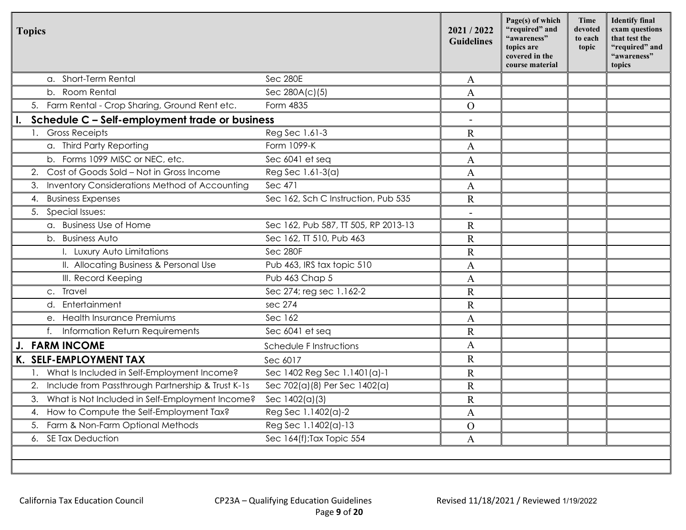| <b>Topics</b>                                                    |                                      | 2021/2022<br><b>Guidelines</b> | Page(s) of which<br>"required" and<br>"awareness"<br>topics are<br>covered in the<br>course material | Time<br>devoted<br>to each<br>topic | <b>Identify final</b><br>exam questions<br>that test the<br>"required" and<br>"awareness"<br>topics |
|------------------------------------------------------------------|--------------------------------------|--------------------------------|------------------------------------------------------------------------------------------------------|-------------------------------------|-----------------------------------------------------------------------------------------------------|
| Short-Term Rental                                                | <b>Sec 280E</b>                      | A                              |                                                                                                      |                                     |                                                                                                     |
| b. Room Rental                                                   | Sec 280A(c)(5)                       | A                              |                                                                                                      |                                     |                                                                                                     |
| 5. Farm Rental - Crop Sharing, Ground Rent etc.                  | Form 4835                            | $\overline{O}$                 |                                                                                                      |                                     |                                                                                                     |
| Schedule C - Self-employment trade or business                   |                                      | $\blacksquare$                 |                                                                                                      |                                     |                                                                                                     |
| 1. Gross Receipts                                                | Reg Sec 1.61-3                       | $\mathbf R$                    |                                                                                                      |                                     |                                                                                                     |
| a. Third Party Reporting                                         | Form 1099-K                          | A                              |                                                                                                      |                                     |                                                                                                     |
| b. Forms 1099 MISC or NEC, etc.                                  | Sec 6041 et seq                      | A                              |                                                                                                      |                                     |                                                                                                     |
| Cost of Goods Sold - Not in Gross Income<br>2.                   | Reg Sec 1.61-3(a)                    | A                              |                                                                                                      |                                     |                                                                                                     |
| Inventory Considerations Method of Accounting<br>3.              | Sec 471                              | A                              |                                                                                                      |                                     |                                                                                                     |
| <b>Business Expenses</b><br>4.                                   | Sec 162, Sch C Instruction, Pub 535  | $\mathbf R$                    |                                                                                                      |                                     |                                                                                                     |
| Special Issues:<br>5.                                            |                                      |                                |                                                                                                      |                                     |                                                                                                     |
| a. Business Use of Home                                          | Sec 162, Pub 587, TT 505, RP 2013-13 | $\mathbb{R}$                   |                                                                                                      |                                     |                                                                                                     |
| b. Business Auto                                                 | Sec 162, TT 510, Pub 463             | $\mathbb{R}$                   |                                                                                                      |                                     |                                                                                                     |
| I. Luxury Auto Limitations                                       | <b>Sec 280F</b>                      | R                              |                                                                                                      |                                     |                                                                                                     |
| II. Allocating Business & Personal Use                           | Pub 463, IRS tax topic 510           | $\mathbf{A}$                   |                                                                                                      |                                     |                                                                                                     |
| III. Record Keeping                                              | Pub 463 Chap 5                       | A                              |                                                                                                      |                                     |                                                                                                     |
| c. Travel                                                        | Sec 274; reg sec 1.162-2             | R                              |                                                                                                      |                                     |                                                                                                     |
| d. Entertainment                                                 | sec 274                              | $\mathbf R$                    |                                                                                                      |                                     |                                                                                                     |
| e. Health Insurance Premiums                                     | Sec 162                              | A                              |                                                                                                      |                                     |                                                                                                     |
| <b>Information Return Requirements</b>                           | Sec 6041 et seq                      | $\mathbf R$                    |                                                                                                      |                                     |                                                                                                     |
| <b>J. FARM INCOME</b>                                            | Schedule F Instructions              | $\mathbf{A}$                   |                                                                                                      |                                     |                                                                                                     |
| K. SELF-EMPLOYMENT TAX                                           | Sec 6017                             | $\mathbb{R}$                   |                                                                                                      |                                     |                                                                                                     |
| 1. What Is Included in Self-Employment Income?                   | Sec 1402 Reg Sec 1.1401(a)-1         | $\mathbb{R}$                   |                                                                                                      |                                     |                                                                                                     |
| 2. Include from Passthrough Partnership & Trust K-1s             | Sec 702(a)(8) Per Sec 1402(a)        | $\mathbb{R}$                   |                                                                                                      |                                     |                                                                                                     |
| What is Not Included in Self-Employment Income?<br>$\mathcal{E}$ | Sec 1402(a)(3)                       | $\mathbf R$                    |                                                                                                      |                                     |                                                                                                     |
| 4. How to Compute the Self-Employment Tax?                       | Reg Sec 1.1402(a)-2                  | $\mathbf{A}$                   |                                                                                                      |                                     |                                                                                                     |
| Farm & Non-Farm Optional Methods<br>5.                           | Reg Sec 1.1402(a)-13                 | $\overline{O}$                 |                                                                                                      |                                     |                                                                                                     |
| 6. SE Tax Deduction                                              | Sec 164(f); Tax Topic 554            | $\mathbf{A}$                   |                                                                                                      |                                     |                                                                                                     |
|                                                                  |                                      |                                |                                                                                                      |                                     |                                                                                                     |
|                                                                  |                                      |                                |                                                                                                      |                                     |                                                                                                     |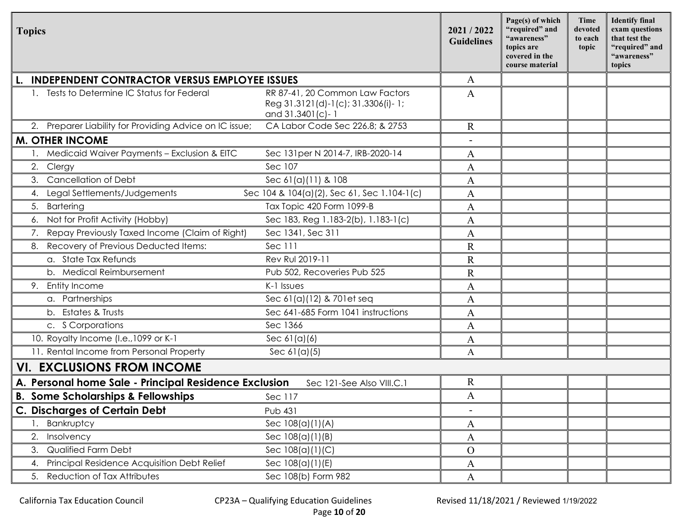| <b>Topics</b>                                           |                                                                                           | 2021/2022<br><b>Guidelines</b> | Page(s) of which<br>"required" and<br>"awareness"<br>topics are<br>covered in the<br>course material | Time<br>devoted<br>to each<br>topic | <b>Identify final</b><br>exam questions<br>that test the<br>"required" and<br>"awareness"<br>topics |
|---------------------------------------------------------|-------------------------------------------------------------------------------------------|--------------------------------|------------------------------------------------------------------------------------------------------|-------------------------------------|-----------------------------------------------------------------------------------------------------|
| <b>INDEPENDENT CONTRACTOR VERSUS EMPLOYEE ISSUES</b>    |                                                                                           | A                              |                                                                                                      |                                     |                                                                                                     |
| 1. Tests to Determine IC Status for Federal             | RR 87-41, 20 Common Law Factors<br>Reg 31.3121(d)-1(c); 31.3306(i)-1;<br>and 31.3401(c)-1 | $\mathbf{A}$                   |                                                                                                      |                                     |                                                                                                     |
| 2. Preparer Liability for Providing Advice on IC issue; | CA Labor Code Sec 226.8; & 2753                                                           | $\mathbf R$                    |                                                                                                      |                                     |                                                                                                     |
| <b>M. OTHER INCOME</b>                                  |                                                                                           |                                |                                                                                                      |                                     |                                                                                                     |
| Medicaid Waiver Payments - Exclusion & EITC             | Sec 131per N 2014-7, IRB-2020-14                                                          | A                              |                                                                                                      |                                     |                                                                                                     |
| 2. Clergy                                               | Sec 107                                                                                   | A                              |                                                                                                      |                                     |                                                                                                     |
| <b>Cancellation of Debt</b><br>3.                       | Sec $61(a)(11)$ & 108                                                                     | A                              |                                                                                                      |                                     |                                                                                                     |
| Legal Settlements/Judgements<br>4.                      | Sec 104 & 104(a)(2), Sec 61, Sec 1.104-1(c)                                               | A                              |                                                                                                      |                                     |                                                                                                     |
| 5. Bartering                                            | Tax Topic 420 Form 1099-B                                                                 | A                              |                                                                                                      |                                     |                                                                                                     |
| 6. Not for Profit Activity (Hobby)                      | Sec 183, Reg 1.183-2(b), 1.183-1(c)                                                       | A                              |                                                                                                      |                                     |                                                                                                     |
| Repay Previously Taxed Income (Claim of Right)<br>7.    | Sec 1341, Sec 311                                                                         | A                              |                                                                                                      |                                     |                                                                                                     |
| Recovery of Previous Deducted Items:<br>8.              | Sec 111                                                                                   | $\mathbf R$                    |                                                                                                      |                                     |                                                                                                     |
| a. State Tax Refunds                                    | Rev Rul 2019-11                                                                           | $\mathbf R$                    |                                                                                                      |                                     |                                                                                                     |
| b. Medical Reimbursement                                | Pub 502, Recoveries Pub 525                                                               | $\mathbf R$                    |                                                                                                      |                                     |                                                                                                     |
| 9. Entity Income                                        | K-1 Issues                                                                                | A                              |                                                                                                      |                                     |                                                                                                     |
| a. Partnerships                                         | Sec 61(a)(12) & 701et seq                                                                 | A                              |                                                                                                      |                                     |                                                                                                     |
| b. Estates & Trusts                                     | Sec 641-685 Form 1041 instructions                                                        | A                              |                                                                                                      |                                     |                                                                                                     |
| c. S Corporations                                       | Sec 1366                                                                                  | A                              |                                                                                                      |                                     |                                                                                                     |
| 10. Royalty Income (I.e., 1099 or K-1                   | sec 61(a)(6)                                                                              | A                              |                                                                                                      |                                     |                                                                                                     |
| 11. Rental Income from Personal Property                | Sec 61(a)(5)                                                                              | A                              |                                                                                                      |                                     |                                                                                                     |
| <b>VI. EXCLUSIONS FROM INCOME</b>                       |                                                                                           |                                |                                                                                                      |                                     |                                                                                                     |
| A. Personal home Sale - Principal Residence Exclusion   | Sec 121-See Also VIII.C.1                                                                 | R                              |                                                                                                      |                                     |                                                                                                     |
| <b>B. Some Scholarships &amp; Fellowships</b>           | Sec 117                                                                                   | A                              |                                                                                                      |                                     |                                                                                                     |
| C. Discharges of Certain Debt                           | <b>Pub 431</b>                                                                            |                                |                                                                                                      |                                     |                                                                                                     |
| Bankruptcy                                              | Sec 108(a)(1)(A)                                                                          | A                              |                                                                                                      |                                     |                                                                                                     |
| 2. Insolvency                                           | Sec $108(a)(1)(B)$                                                                        | $\mathbf{A}$                   |                                                                                                      |                                     |                                                                                                     |
| Qualified Farm Debt<br>3.                               | Sec 108(a)(1)(C)                                                                          | $\Omega$                       |                                                                                                      |                                     |                                                                                                     |
| Principal Residence Acquisition Debt Relief<br>4.       | Sec 108(a)(1)(E)                                                                          | $\mathbf{A}$                   |                                                                                                      |                                     |                                                                                                     |
| 5. Reduction of Tax Attributes                          | Sec 108(b) Form 982                                                                       | $\mathbf{A}$                   |                                                                                                      |                                     |                                                                                                     |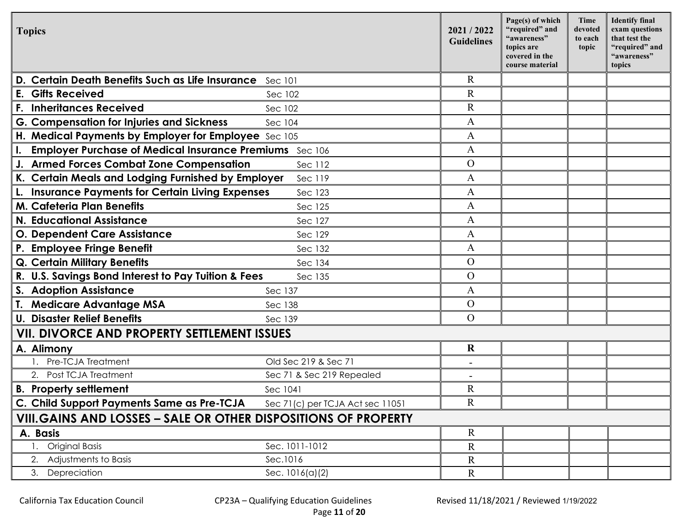| <b>Topics</b>                                                                               |                                  | 2021/2022<br><b>Guidelines</b> | Page(s) of which<br>"required" and<br>"awareness"<br>topics are<br>covered in the<br>course material | Time<br>devoted<br>to each<br>topic | <b>Identify final</b><br>exam questions<br>that test the<br>"required" and<br>"awareness"<br>topics |
|---------------------------------------------------------------------------------------------|----------------------------------|--------------------------------|------------------------------------------------------------------------------------------------------|-------------------------------------|-----------------------------------------------------------------------------------------------------|
| D. Certain Death Benefits Such as Life Insurance                                            | Sec 101                          | $\mathbf R$                    |                                                                                                      |                                     |                                                                                                     |
| E. Gifts Received                                                                           | Sec 102                          | $\mathbf R$                    |                                                                                                      |                                     |                                                                                                     |
| <b>F. Inheritances Received</b>                                                             | Sec 102                          | $\mathbb{R}$                   |                                                                                                      |                                     |                                                                                                     |
| G. Compensation for Injuries and Sickness                                                   | Sec 104                          | A                              |                                                                                                      |                                     |                                                                                                     |
| H. Medical Payments by Employer for Employee Sec 105                                        |                                  | A                              |                                                                                                      |                                     |                                                                                                     |
| <b>Employer Purchase of Medical Insurance Premiums</b> Sec 106<br>$\mathbf{L}_{\mathbf{L}}$ |                                  | A                              |                                                                                                      |                                     |                                                                                                     |
| J. Armed Forces Combat Zone Compensation                                                    | Sec 112                          | $\mathcal{O}$                  |                                                                                                      |                                     |                                                                                                     |
| K. Certain Meals and Lodging Furnished by Employer                                          | Sec 119                          | A                              |                                                                                                      |                                     |                                                                                                     |
| L. Insurance Payments for Certain Living Expenses                                           | Sec 123                          | A                              |                                                                                                      |                                     |                                                                                                     |
| <b>M. Cafeteria Plan Benefits</b>                                                           | Sec 125                          | A                              |                                                                                                      |                                     |                                                                                                     |
| N. Educational Assistance                                                                   | Sec 127                          | A                              |                                                                                                      |                                     |                                                                                                     |
| O. Dependent Care Assistance                                                                | Sec 129                          | A                              |                                                                                                      |                                     |                                                                                                     |
| P. Employee Fringe Benefit                                                                  | Sec 132                          | $\mathbf{A}$                   |                                                                                                      |                                     |                                                                                                     |
| Q. Certain Military Benefits                                                                | Sec 134                          | $\mathcal{O}$                  |                                                                                                      |                                     |                                                                                                     |
| R. U.S. Savings Bond Interest to Pay Tuition & Fees                                         | Sec 135                          | $\mathcal{O}$                  |                                                                                                      |                                     |                                                                                                     |
| S. Adoption Assistance                                                                      | Sec 137                          | A                              |                                                                                                      |                                     |                                                                                                     |
| T. Medicare Advantage MSA                                                                   | Sec 138                          | $\mathcal{O}$                  |                                                                                                      |                                     |                                                                                                     |
| <b>U. Disaster Relief Benefits</b>                                                          | Sec 139                          | $\mathcal{O}$                  |                                                                                                      |                                     |                                                                                                     |
| <b>VII. DIVORCE AND PROPERTY SETTLEMENT ISSUES</b>                                          |                                  |                                |                                                                                                      |                                     |                                                                                                     |
| A. Alimony                                                                                  |                                  | $\mathbf R$                    |                                                                                                      |                                     |                                                                                                     |
| 1. Pre-TCJA Treatment                                                                       | Old Sec 219 & Sec 71             | $\overline{\phantom{0}}$       |                                                                                                      |                                     |                                                                                                     |
| 2. Post TCJA Treatment                                                                      | Sec 71 & Sec 219 Repealed        | $\overline{\phantom{a}}$       |                                                                                                      |                                     |                                                                                                     |
| <b>B.</b> Property settlement                                                               | Sec 1041                         | R                              |                                                                                                      |                                     |                                                                                                     |
| C. Child Support Payments Same as Pre-TCJA                                                  | Sec 71(c) per TCJA Act sec 11051 | R.                             |                                                                                                      |                                     |                                                                                                     |
| VIII. GAINS AND LOSSES - SALE OR OTHER DISPOSITIONS OF PROPERTY                             |                                  |                                |                                                                                                      |                                     |                                                                                                     |
| A. Basis                                                                                    |                                  | $\mathbf R$                    |                                                                                                      |                                     |                                                                                                     |
| <b>Original Basis</b>                                                                       | Sec. 1011-1012                   | ${\bf R}$                      |                                                                                                      |                                     |                                                                                                     |
| 2. Adjustments to Basis                                                                     | Sec.1016                         | $\mathbf R$                    |                                                                                                      |                                     |                                                                                                     |
| 3. Depreciation                                                                             | Sec. $1016(a)(2)$                | $\mathbf R$                    |                                                                                                      |                                     |                                                                                                     |
|                                                                                             |                                  |                                |                                                                                                      |                                     |                                                                                                     |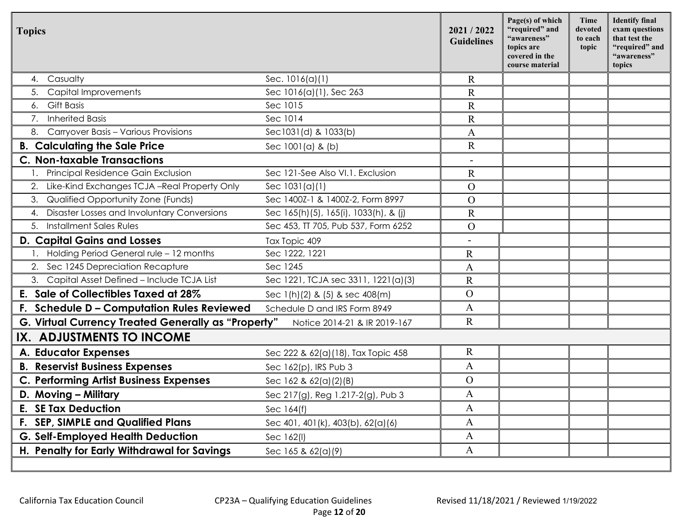| <b>Topics</b>                                       |                                       | 2021/2022<br><b>Guidelines</b> | Page(s) of which<br>"required" and<br>"awareness"<br>topics are<br>covered in the<br>course material | Time<br>devoted<br>to each<br>topic | <b>Identify final</b><br>exam questions<br>that test the<br>"required" and<br>"awareness"<br>topics |
|-----------------------------------------------------|---------------------------------------|--------------------------------|------------------------------------------------------------------------------------------------------|-------------------------------------|-----------------------------------------------------------------------------------------------------|
| 4. Casualty                                         | Sec. $1016(a)(1)$                     | R                              |                                                                                                      |                                     |                                                                                                     |
| Capital Improvements<br>5.                          | Sec 1016(a)(1), Sec 263               | $\mathbb{R}$                   |                                                                                                      |                                     |                                                                                                     |
| <b>Gift Basis</b><br>6.                             | Sec 1015                              | $\mathbf R$                    |                                                                                                      |                                     |                                                                                                     |
| <b>Inherited Basis</b><br>7.                        | Sec 1014                              | $\mathbf R$                    |                                                                                                      |                                     |                                                                                                     |
| 8. Carryover Basis - Various Provisions             | Sec1031(d) & 1033(b)                  | A                              |                                                                                                      |                                     |                                                                                                     |
| <b>B. Calculating the Sale Price</b>                | Sec 1001(a) & (b)                     | $\mathbf R$                    |                                                                                                      |                                     |                                                                                                     |
| <b>C. Non-taxable Transactions</b>                  |                                       | $\blacksquare$                 |                                                                                                      |                                     |                                                                                                     |
| Principal Residence Gain Exclusion                  | Sec 121-See Also VI.1. Exclusion      | $\mathbf R$                    |                                                                                                      |                                     |                                                                                                     |
| Like-Kind Exchanges TCJA -Real Property Only<br>2.  | Sec $1031(a)(1)$                      | $\overline{O}$                 |                                                                                                      |                                     |                                                                                                     |
| Qualified Opportunity Zone (Funds)<br>3.            | Sec 1400Z-1 & 1400Z-2, Form 8997      | $\Omega$                       |                                                                                                      |                                     |                                                                                                     |
| Disaster Losses and Involuntary Conversions<br>4.   | Sec 165(h)(5), 165(i), 1033(h), & (j) | R                              |                                                                                                      |                                     |                                                                                                     |
| <b>Installment Sales Rules</b><br>5.                | Sec 453, TT 705, Pub 537, Form 6252   | $\Omega$                       |                                                                                                      |                                     |                                                                                                     |
| <b>D. Capital Gains and Losses</b>                  | Tax Topic 409                         |                                |                                                                                                      |                                     |                                                                                                     |
| 1. Holding Period General rule - 12 months          | Sec 1222, 1221                        | $\mathbf R$                    |                                                                                                      |                                     |                                                                                                     |
| 2. Sec 1245 Depreciation Recapture                  | Sec 1245                              | $\mathbf{A}$                   |                                                                                                      |                                     |                                                                                                     |
| 3. Capital Asset Defined - Include TCJA List        | Sec 1221, TCJA sec 3311, 1221(a)(3)   | $\mathbf R$                    |                                                                                                      |                                     |                                                                                                     |
| E. Sale of Collectibles Taxed at 28%                | Sec 1(h)(2) & (5) & sec 408(m)        | $\overline{O}$                 |                                                                                                      |                                     |                                                                                                     |
| F. Schedule D - Computation Rules Reviewed          | Schedule D and IRS Form 8949          | A                              |                                                                                                      |                                     |                                                                                                     |
| G. Virtual Currency Treated Generally as "Property" | Notice 2014-21 & IR 2019-167          | $\mathbf R$                    |                                                                                                      |                                     |                                                                                                     |
| IX. ADJUSTMENTS TO INCOME                           |                                       |                                |                                                                                                      |                                     |                                                                                                     |
| A. Educator Expenses                                | Sec 222 & 62(a)(18), Tax Topic 458    | $\mathbf R$                    |                                                                                                      |                                     |                                                                                                     |
| <b>B. Reservist Business Expenses</b>               | Sec 162(p), IRS Pub 3                 | A                              |                                                                                                      |                                     |                                                                                                     |
| <b>C. Performing Artist Business Expenses</b>       | Sec 162 & $62(a)(2)(B)$               | $\Omega$                       |                                                                                                      |                                     |                                                                                                     |
| D. Moving - Military                                | Sec 217(g), Reg 1.217-2(g), Pub 3     | $\mathbf{A}$                   |                                                                                                      |                                     |                                                                                                     |
| <b>E. SE Tax Deduction</b>                          | Sec 164(f)                            | A                              |                                                                                                      |                                     |                                                                                                     |
| F. SEP, SIMPLE and Qualified Plans                  | Sec 401, 401(k), 403(b), $62(a)(6)$   | $\mathbf{A}$                   |                                                                                                      |                                     |                                                                                                     |
| G. Self-Employed Health Deduction                   | Sec 162(l)                            | $\mathbf{A}$                   |                                                                                                      |                                     |                                                                                                     |
| H. Penalty for Early Withdrawal for Savings         | Sec 165 & 62(a)(9)                    | $\mathbf{A}$                   |                                                                                                      |                                     |                                                                                                     |
|                                                     |                                       |                                |                                                                                                      |                                     |                                                                                                     |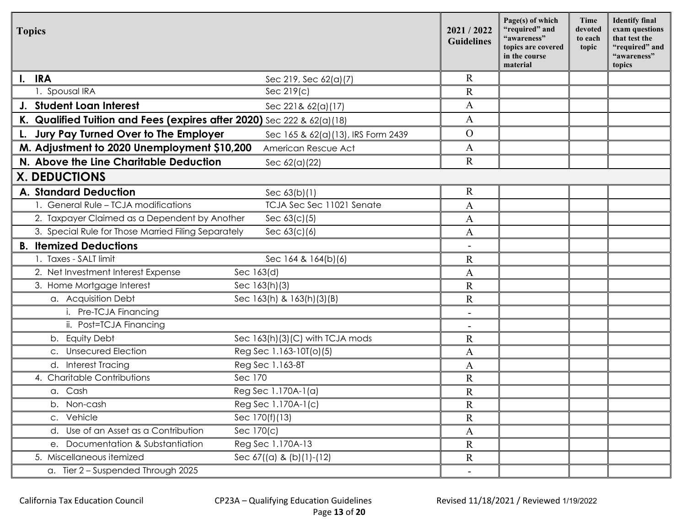| <b>Topics</b>  |                                                                        |                                    | 2021/2022<br><b>Guidelines</b> | Page(s) of which<br>"required" and<br>"awareness"<br>topics are covered<br>in the course<br>material | Time<br>devoted<br>to each<br>topic | <b>Identify final</b><br>exam questions<br>that test the<br>"required" and<br>"awareness"<br>topics |
|----------------|------------------------------------------------------------------------|------------------------------------|--------------------------------|------------------------------------------------------------------------------------------------------|-------------------------------------|-----------------------------------------------------------------------------------------------------|
| $\mathbf{l}$ . | <b>IRA</b>                                                             | Sec 219, Sec 62(a)(7)              | $\mathbb{R}$                   |                                                                                                      |                                     |                                                                                                     |
|                | 1. Spousal IRA                                                         | Sec $219(c)$                       | $\mathbf R$                    |                                                                                                      |                                     |                                                                                                     |
|                | J. Student Loan Interest                                               | Sec 221& 62(a)(17)                 | A                              |                                                                                                      |                                     |                                                                                                     |
|                | K. Qualified Tuition and Fees (expires after 2020) Sec 222 & 62(a)(18) |                                    | A                              |                                                                                                      |                                     |                                                                                                     |
|                | L. Jury Pay Turned Over to The Employer                                | Sec 165 & 62(a)(13), IRS Form 2439 | $\Omega$                       |                                                                                                      |                                     |                                                                                                     |
|                | M. Adjustment to 2020 Unemployment \$10,200                            | American Rescue Act                | A                              |                                                                                                      |                                     |                                                                                                     |
|                | N. Above the Line Charitable Deduction                                 | Sec 62(a)(22)                      | $\mathbf R$                    |                                                                                                      |                                     |                                                                                                     |
|                | <b>X. DEDUCTIONS</b>                                                   |                                    |                                |                                                                                                      |                                     |                                                                                                     |
|                | <b>A. Standard Deduction</b>                                           | sec 63(b)(1)                       | $\mathbf R$                    |                                                                                                      |                                     |                                                                                                     |
|                | 1. General Rule - TCJA modifications                                   | TCJA Sec Sec 11021 Senate          | A                              |                                                                                                      |                                     |                                                                                                     |
|                | 2. Taxpayer Claimed as a Dependent by Another                          | Sec $63(c)(5)$                     | A                              |                                                                                                      |                                     |                                                                                                     |
|                | 3. Special Rule for Those Married Filing Separately                    | sec 63(c)(6)                       | A                              |                                                                                                      |                                     |                                                                                                     |
|                | <b>B. Itemized Deductions</b>                                          |                                    |                                |                                                                                                      |                                     |                                                                                                     |
|                | 1. Taxes - SALT limit                                                  | Sec 164 & 164(b)(6)                | $\mathbb{R}$                   |                                                                                                      |                                     |                                                                                                     |
|                | 2. Net Investment Interest Expense                                     | Sec 163(d)                         | A                              |                                                                                                      |                                     |                                                                                                     |
|                | 3. Home Mortgage Interest                                              | Sec $163(h)(3)$                    | $\mathbf R$                    |                                                                                                      |                                     |                                                                                                     |
|                | a. Acquisition Debt                                                    | Sec 163(h) & 163(h)(3)(B)          | $\mathbf R$                    |                                                                                                      |                                     |                                                                                                     |
|                | i. Pre-TCJA Financing                                                  |                                    |                                |                                                                                                      |                                     |                                                                                                     |
|                | ii. Post=TCJA Financing                                                |                                    | $\blacksquare$                 |                                                                                                      |                                     |                                                                                                     |
|                | b. Equity Debt                                                         | Sec 163(h)(3)(C) with TCJA mods    | $\mathbb{R}$                   |                                                                                                      |                                     |                                                                                                     |
|                | c. Unsecured Election                                                  | Reg Sec 1.163-10T(o)(5)            | A                              |                                                                                                      |                                     |                                                                                                     |
|                | d. Interest Tracing                                                    | Reg Sec 1.163-8T                   | A                              |                                                                                                      |                                     |                                                                                                     |
|                | 4. Charitable Contributions                                            | Sec 170                            | $\mathbb{R}$                   |                                                                                                      |                                     |                                                                                                     |
|                | a. Cash                                                                | Reg Sec 1.170A-1(a)                | $\mathbf R$                    |                                                                                                      |                                     |                                                                                                     |
|                | b. Non-cash                                                            | Reg Sec 1.170A-1(c)                | $\mathbb{R}$                   |                                                                                                      |                                     |                                                                                                     |
|                | c. Vehicle                                                             | Sec 170(f)(13)                     | $\mathbf R$                    |                                                                                                      |                                     |                                                                                                     |
|                | d. Use of an Asset as a Contribution                                   | Sec 170(c)                         | $\mathbf{A}$                   |                                                                                                      |                                     |                                                                                                     |
|                | Documentation & Substantiation<br>е.                                   | Reg Sec 1.170A-13                  | ${\bf R}$                      |                                                                                                      |                                     |                                                                                                     |
|                | 5. Miscellaneous itemized                                              | Sec $67((a) 8 (b)(1)-(12)$         | ${\bf R}$                      |                                                                                                      |                                     |                                                                                                     |
|                | a. Tier 2 - Suspended Through 2025                                     |                                    | $\blacksquare$                 |                                                                                                      |                                     |                                                                                                     |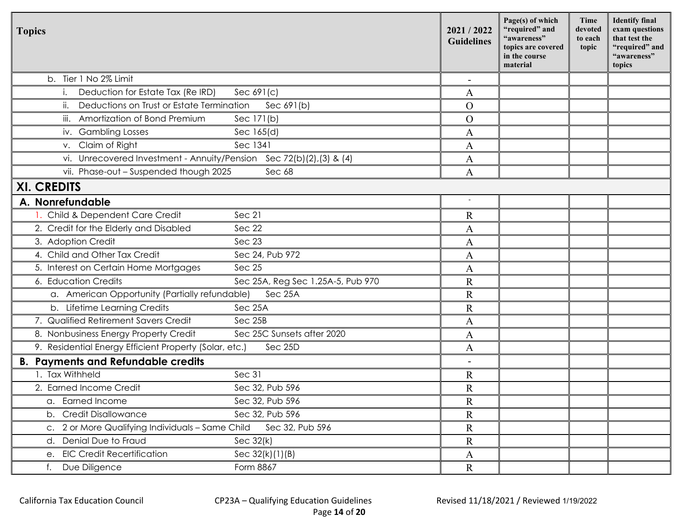| <b>Topics</b>                                                       |                                   | 2021/2022<br><b>Guidelines</b> | Page(s) of which<br>"required" and<br>"awareness"<br>topics are covered<br>in the course<br>material | Time<br>devoted<br>to each<br>topic | <b>Identify final</b><br>exam questions<br>that test the<br>"required" and<br>"awareness"<br>topics |
|---------------------------------------------------------------------|-----------------------------------|--------------------------------|------------------------------------------------------------------------------------------------------|-------------------------------------|-----------------------------------------------------------------------------------------------------|
| b. Tier 1 No 2% Limit                                               |                                   |                                |                                                                                                      |                                     |                                                                                                     |
| Deduction for Estate Tax (Re IRD)                                   | Sec $691(c)$                      | A                              |                                                                                                      |                                     |                                                                                                     |
| Deductions on Trust or Estate Termination<br>ii.                    | Sec 691(b)                        | $\mathbf{O}$                   |                                                                                                      |                                     |                                                                                                     |
| Amortization of Bond Premium<br>iii.                                | Sec 171(b)                        | $\mathcal{O}$                  |                                                                                                      |                                     |                                                                                                     |
| iv. Gambling Losses                                                 | Sec 165(d)                        | A                              |                                                                                                      |                                     |                                                                                                     |
| v. Claim of Right                                                   | Sec 1341                          | A                              |                                                                                                      |                                     |                                                                                                     |
| vi. Unrecovered Investment - Annuity/Pension Sec 72(b)(2),(3) & (4) |                                   | A                              |                                                                                                      |                                     |                                                                                                     |
| vii. Phase-out - Suspended though 2025                              | Sec 68                            | A                              |                                                                                                      |                                     |                                                                                                     |
| <b>XI. CREDITS</b>                                                  |                                   |                                |                                                                                                      |                                     |                                                                                                     |
| A. Nonrefundable                                                    |                                   | $\overline{\phantom{a}}$       |                                                                                                      |                                     |                                                                                                     |
| 1. Child & Dependent Care Credit                                    | Sec 21                            | $\mathbf R$                    |                                                                                                      |                                     |                                                                                                     |
| 2. Credit for the Elderly and Disabled                              | Sec 22                            | A                              |                                                                                                      |                                     |                                                                                                     |
| 3. Adoption Credit                                                  | Sec 23                            | A                              |                                                                                                      |                                     |                                                                                                     |
| 4. Child and Other Tax Credit                                       | Sec 24, Pub 972                   | A                              |                                                                                                      |                                     |                                                                                                     |
| 5. Interest on Certain Home Mortgages                               | Sec 25                            | A                              |                                                                                                      |                                     |                                                                                                     |
| 6. Education Credits                                                | Sec 25A, Reg Sec 1.25A-5, Pub 970 | $\mathbf R$                    |                                                                                                      |                                     |                                                                                                     |
| a. American Opportunity (Partially refundable)                      | Sec 25A                           | $\mathbb{R}$                   |                                                                                                      |                                     |                                                                                                     |
| b. Lifetime Learning Credits                                        | Sec 25A                           | $\mathbf R$                    |                                                                                                      |                                     |                                                                                                     |
| 7. Qualified Retirement Savers Credit                               | Sec 25B                           | A                              |                                                                                                      |                                     |                                                                                                     |
| 8. Nonbusiness Energy Property Credit                               | Sec 25C Sunsets after 2020        | A                              |                                                                                                      |                                     |                                                                                                     |
| 9. Residential Energy Efficient Property (Solar, etc.)              | Sec 25D                           | A                              |                                                                                                      |                                     |                                                                                                     |
| <b>B. Payments and Refundable credits</b>                           |                                   |                                |                                                                                                      |                                     |                                                                                                     |
| 1. Tax Withheld                                                     | Sec 31                            | $\mathbf R$                    |                                                                                                      |                                     |                                                                                                     |
| 2. Earned Income Credit                                             | Sec 32, Pub 596                   | $\mathbf R$                    |                                                                                                      |                                     |                                                                                                     |
| a. Earned Income                                                    | Sec 32, Pub 596                   | $\mathbf R$                    |                                                                                                      |                                     |                                                                                                     |
| b. Credit Disallowance                                              | Sec 32, Pub 596                   | $\mathbf{R}$                   |                                                                                                      |                                     |                                                                                                     |
| c. 2 or More Qualifying Individuals - Same Child                    | Sec 32, Pub 596                   | $\mathbf R$                    |                                                                                                      |                                     |                                                                                                     |
| Denial Due to Fraud<br>d.                                           | Sec $32(k)$                       | ${\bf R}$                      |                                                                                                      |                                     |                                                                                                     |
| e. EIC Credit Recertification                                       | Sec 32(k)(1)(B)                   | $\mathbf{A}$                   |                                                                                                      |                                     |                                                                                                     |
| Due Diligence<br>f.                                                 | Form 8867                         | $\mathbf R$                    |                                                                                                      |                                     |                                                                                                     |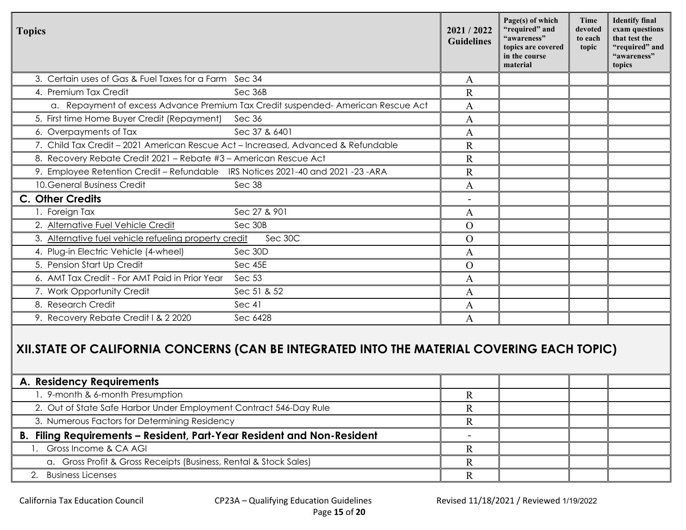| <b>Topics</b>                                                                     |                                                                                             | 2021/2022<br><b>Guidelines</b> | Page(s) of which<br>"required" and<br>"awareness"<br>topics are covered<br>in the course<br>material | Time<br>devoted<br>to each<br>topic | <b>Identify final</b><br>exam questions<br>that test the<br>"required" and<br>"awareness"<br>topics |
|-----------------------------------------------------------------------------------|---------------------------------------------------------------------------------------------|--------------------------------|------------------------------------------------------------------------------------------------------|-------------------------------------|-----------------------------------------------------------------------------------------------------|
| 3. Certain uses of Gas & Fuel Taxes for a Farm Sec 34                             |                                                                                             | A                              |                                                                                                      |                                     |                                                                                                     |
| 4. Premium Tax Credit                                                             | Sec 36B                                                                                     | $\mathbf R$                    |                                                                                                      |                                     |                                                                                                     |
|                                                                                   | a. Repayment of excess Advance Premium Tax Credit suspended-American Rescue Act             | A                              |                                                                                                      |                                     |                                                                                                     |
| 5. First time Home Buyer Credit (Repayment)                                       | Sec 36                                                                                      | A                              |                                                                                                      |                                     |                                                                                                     |
| 6. Overpayments of Tax                                                            | Sec 37 & 6401                                                                               | $\mathbf{A}$                   |                                                                                                      |                                     |                                                                                                     |
| 7. Child Tax Credit - 2021 American Rescue Act - Increased, Advanced & Refundable |                                                                                             | $\mathbf R$                    |                                                                                                      |                                     |                                                                                                     |
| 8. Recovery Rebate Credit 2021 - Rebate #3 - American Rescue Act                  |                                                                                             | $\mathbb{R}$                   |                                                                                                      |                                     |                                                                                                     |
| 9. Employee Retention Credit - Refundable IRS Notices 2021-40 and 2021-23-ARA     |                                                                                             | $\mathbf R$                    |                                                                                                      |                                     |                                                                                                     |
| 10. General Business Credit                                                       | Sec 38                                                                                      | A                              |                                                                                                      |                                     |                                                                                                     |
| C. Other Credits                                                                  |                                                                                             |                                |                                                                                                      |                                     |                                                                                                     |
| 1. Foreign Tax                                                                    | Sec 27 & 901                                                                                | $\mathbf{A}$                   |                                                                                                      |                                     |                                                                                                     |
| 2. Alternative Fuel Vehicle Credit                                                | Sec 30B                                                                                     | $\overline{O}$                 |                                                                                                      |                                     |                                                                                                     |
| 3. Alternative fuel vehicle refueling property credit                             | Sec 30C                                                                                     | $\overline{O}$                 |                                                                                                      |                                     |                                                                                                     |
| 4. Plug-in Electric Vehicle (4-wheel)                                             | Sec 30D                                                                                     | A                              |                                                                                                      |                                     |                                                                                                     |
| 5. Pension Start Up Credit                                                        | Sec 45E                                                                                     | $\overline{O}$                 |                                                                                                      |                                     |                                                                                                     |
| 6. AMT Tax Credit - For AMT Paid in Prior Year                                    | Sec 53                                                                                      | $\mathbf{A}$                   |                                                                                                      |                                     |                                                                                                     |
| 7. Work Opportunity Credit                                                        | Sec 51 & 52                                                                                 | A                              |                                                                                                      |                                     |                                                                                                     |
| 8. Research Credit                                                                | Sec 41                                                                                      | A                              |                                                                                                      |                                     |                                                                                                     |
| 9. Recovery Rebate Credit I & 2 2020                                              | Sec 6428                                                                                    | Α                              |                                                                                                      |                                     |                                                                                                     |
|                                                                                   | XII. STATE OF CALIFORNIA CONCERNS (CAN BE INTEGRATED INTO THE MATERIAL COVERING EACH TOPIC) |                                |                                                                                                      |                                     |                                                                                                     |
| A. Residency Requirements                                                         |                                                                                             |                                |                                                                                                      |                                     |                                                                                                     |
| 1. 9-month & 6-month Presumption                                                  |                                                                                             | $\mathbf R$                    |                                                                                                      |                                     |                                                                                                     |

| 2. Out of State Safe Harbor Under Employment Contract 546-Day Rule     |  |  |
|------------------------------------------------------------------------|--|--|
| 3. Numerous Factors for Determining Residency                          |  |  |
| B. Filing Requirements – Resident, Part-Year Resident and Non-Resident |  |  |
| Gross Income & CA AGI                                                  |  |  |
| a. Gross Profit & Gross Receipts (Business, Rental & Stock Sales)      |  |  |
| Business Licenses                                                      |  |  |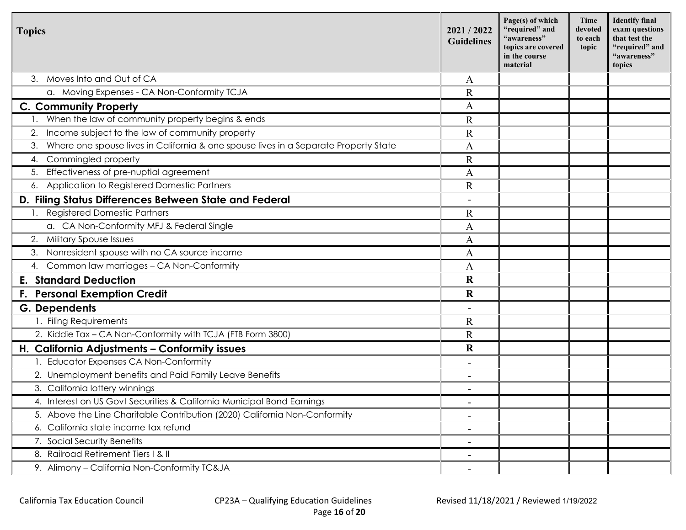| <b>Topics</b>                                                                              | 2021/2022<br><b>Guidelines</b> | Page(s) of which<br>"required" and<br>"awareness"<br>topics are covered<br>in the course<br>material | Time<br>devoted<br>to each<br>topic | <b>Identify final</b><br>exam questions<br>that test the<br>"required" and<br>"awareness"<br>topics |
|--------------------------------------------------------------------------------------------|--------------------------------|------------------------------------------------------------------------------------------------------|-------------------------------------|-----------------------------------------------------------------------------------------------------|
| Moves Into and Out of CA<br>3.                                                             | A                              |                                                                                                      |                                     |                                                                                                     |
| a. Moving Expenses - CA Non-Conformity TCJA                                                | R                              |                                                                                                      |                                     |                                                                                                     |
| <b>C. Community Property</b>                                                               | $\mathbf{A}$                   |                                                                                                      |                                     |                                                                                                     |
| When the law of community property begins & ends                                           | $\mathbb{R}$                   |                                                                                                      |                                     |                                                                                                     |
| Income subject to the law of community property<br>2.                                      | $\mathbf R$                    |                                                                                                      |                                     |                                                                                                     |
| Where one spouse lives in California & one spouse lives in a Separate Property State<br>3. | A                              |                                                                                                      |                                     |                                                                                                     |
| Commingled property<br>4.                                                                  | $\mathbb{R}$                   |                                                                                                      |                                     |                                                                                                     |
| Effectiveness of pre-nuptial agreement<br>5.                                               | A                              |                                                                                                      |                                     |                                                                                                     |
| Application to Registered Domestic Partners<br>6.                                          | $\mathbb{R}$                   |                                                                                                      |                                     |                                                                                                     |
| D. Filing Status Differences Between State and Federal                                     |                                |                                                                                                      |                                     |                                                                                                     |
| <b>Registered Domestic Partners</b>                                                        | $\mathbb{R}$                   |                                                                                                      |                                     |                                                                                                     |
| a. CA Non-Conformity MFJ & Federal Single                                                  | A                              |                                                                                                      |                                     |                                                                                                     |
| <b>Military Spouse Issues</b><br>2.                                                        | A                              |                                                                                                      |                                     |                                                                                                     |
| Nonresident spouse with no CA source income<br>3.                                          | $\mathbf{A}$                   |                                                                                                      |                                     |                                                                                                     |
| Common law marriages - CA Non-Conformity<br>4.                                             | A                              |                                                                                                      |                                     |                                                                                                     |
| <b>E. Standard Deduction</b>                                                               | $\mathbf R$                    |                                                                                                      |                                     |                                                                                                     |
| <b>Personal Exemption Credit</b>                                                           | $\bf R$                        |                                                                                                      |                                     |                                                                                                     |
| G. Dependents                                                                              |                                |                                                                                                      |                                     |                                                                                                     |
| 1. Filing Requirements                                                                     | $\mathbb{R}$                   |                                                                                                      |                                     |                                                                                                     |
| 2. Kiddie Tax - CA Non-Conformity with TCJA (FTB Form 3800)                                | $\mathbb{R}$                   |                                                                                                      |                                     |                                                                                                     |
| H. California Adjustments - Conformity issues                                              | $\bf R$                        |                                                                                                      |                                     |                                                                                                     |
| 1. Educator Expenses CA Non-Conformity                                                     | Ξ.                             |                                                                                                      |                                     |                                                                                                     |
| 2. Unemployment benefits and Paid Family Leave Benefits                                    |                                |                                                                                                      |                                     |                                                                                                     |
| 3. California lottery winnings                                                             | $\overline{\phantom{a}}$       |                                                                                                      |                                     |                                                                                                     |
| 4. Interest on US Govt Securities & California Municipal Bond Earnings                     |                                |                                                                                                      |                                     |                                                                                                     |
| 5. Above the Line Charitable Contribution (2020) California Non-Conformity                 |                                |                                                                                                      |                                     |                                                                                                     |
| 6. California state income tax refund                                                      | Ξ.                             |                                                                                                      |                                     |                                                                                                     |
| 7. Social Security Benefits                                                                |                                |                                                                                                      |                                     |                                                                                                     |
| 8. Railroad Retirement Tiers   & II                                                        |                                |                                                                                                      |                                     |                                                                                                     |
| 9. Alimony - California Non-Conformity TC&JA                                               |                                |                                                                                                      |                                     |                                                                                                     |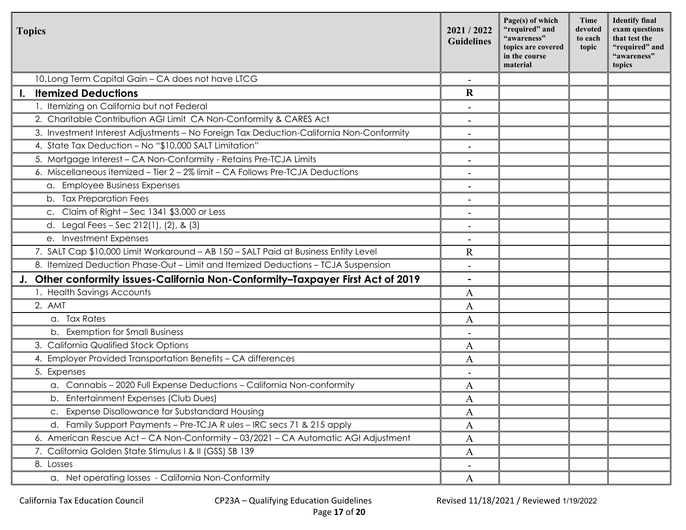| <b>Topics</b>                                                                           | 2021/2022<br><b>Guidelines</b> | Page(s) of which<br>"required" and<br>"awareness"<br>topics are covered<br>in the course<br>material | Time<br>devoted<br>to each<br>topic | <b>Identify final</b><br>exam questions<br>that test the<br>"required" and<br>"awareness"<br>topics |
|-----------------------------------------------------------------------------------------|--------------------------------|------------------------------------------------------------------------------------------------------|-------------------------------------|-----------------------------------------------------------------------------------------------------|
| 10. Long Term Capital Gain - CA does not have LTCG                                      |                                |                                                                                                      |                                     |                                                                                                     |
| <b>Itemized Deductions</b>                                                              | $\bf R$                        |                                                                                                      |                                     |                                                                                                     |
| 1. Itemizing on California but not Federal                                              | $\overline{\phantom{a}}$       |                                                                                                      |                                     |                                                                                                     |
| 2. Charitable Contribution AGI Limit CA Non-Conformity & CARES Act                      | -                              |                                                                                                      |                                     |                                                                                                     |
| 3. Investment Interest Adjustments - No Foreign Tax Deduction-California Non-Conformity | -                              |                                                                                                      |                                     |                                                                                                     |
| 4. State Tax Deduction - No "\$10,000 SALT Limitation"                                  |                                |                                                                                                      |                                     |                                                                                                     |
| 5. Mortgage Interest - CA Non-Conformity - Retains Pre-TCJA Limits                      | $\qquad \qquad \blacksquare$   |                                                                                                      |                                     |                                                                                                     |
| 6. Miscellaneous itemized - Tier 2 - 2% limit - CA Follows Pre-TCJA Deductions          | ۰                              |                                                                                                      |                                     |                                                                                                     |
| a. Employee Business Expenses                                                           | $\overline{\phantom{a}}$       |                                                                                                      |                                     |                                                                                                     |
| b. Tax Preparation Fees                                                                 |                                |                                                                                                      |                                     |                                                                                                     |
| Claim of Right - Sec 1341 \$3,000 or Less<br>$C_{\bullet}$                              | $\qquad \qquad \blacksquare$   |                                                                                                      |                                     |                                                                                                     |
| d. Legal Fees - Sec 212(1), (2), & (3)                                                  | $\overline{\phantom{a}}$       |                                                                                                      |                                     |                                                                                                     |
| e. Investment Expenses                                                                  |                                |                                                                                                      |                                     |                                                                                                     |
| 7. SALT Cap \$10,000 Limit Workaround - AB 150 - SALT Paid at Business Entity Level     | $\mathbf{R}$                   |                                                                                                      |                                     |                                                                                                     |
| 8. Itemized Deduction Phase-Out - Limit and Itemized Deductions - TCJA Suspension       | $\overline{\phantom{a}}$       |                                                                                                      |                                     |                                                                                                     |
| Other conformity issues-California Non-Conformity-Taxpayer First Act of 2019            | $\overline{\phantom{a}}$       |                                                                                                      |                                     |                                                                                                     |
| 1. Health Savings Accounts                                                              | A                              |                                                                                                      |                                     |                                                                                                     |
| 2. AMT                                                                                  | $\mathbf{A}$                   |                                                                                                      |                                     |                                                                                                     |
| a. Tax Rates                                                                            | A                              |                                                                                                      |                                     |                                                                                                     |
| b. Exemption for Small Business                                                         |                                |                                                                                                      |                                     |                                                                                                     |
| 3. California Qualified Stock Options                                                   | $\mathbf{A}$                   |                                                                                                      |                                     |                                                                                                     |
| 4. Employer Provided Transportation Benefits - CA differences                           | $\mathbf{A}$                   |                                                                                                      |                                     |                                                                                                     |
| 5. Expenses                                                                             |                                |                                                                                                      |                                     |                                                                                                     |
| a. Cannabis - 2020 Full Expense Deductions - California Non-conformity                  | A                              |                                                                                                      |                                     |                                                                                                     |
| b. Entertainment Expenses (Club Dues)                                                   | Α                              |                                                                                                      |                                     |                                                                                                     |
| c. Expense Disallowance for Substandard Housing                                         | A                              |                                                                                                      |                                     |                                                                                                     |
| d. Family Support Payments - Pre-TCJA R ules - IRC secs 71 & 215 apply                  | $\mathbf{A}$                   |                                                                                                      |                                     |                                                                                                     |
| 6. American Rescue Act - CA Non-Conformity - 03/2021 - CA Automatic AGI Adjustment      | $\mathbf{A}$                   |                                                                                                      |                                     |                                                                                                     |
| 7. California Golden State Stimulus   & II (GSS) SB 139                                 | $\mathbf{A}$                   |                                                                                                      |                                     |                                                                                                     |
| 8. Losses                                                                               |                                |                                                                                                      |                                     |                                                                                                     |
| a. Net operating losses - California Non-Conformity                                     | $\mathbf{A}$                   |                                                                                                      |                                     |                                                                                                     |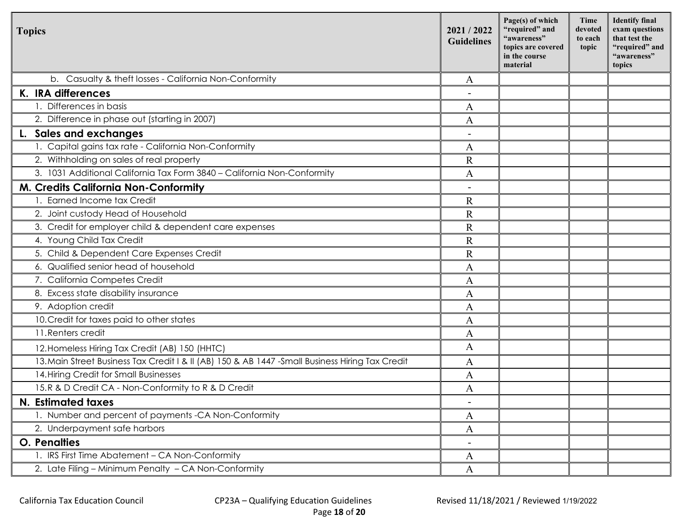| <b>Topics</b>                                                                                   | 2021/2022<br><b>Guidelines</b> | Page(s) of which<br>"required" and<br>"awareness"<br>topics are covered<br>in the course<br>material | Time<br>devoted<br>to each<br>topic | <b>Identify final</b><br>exam questions<br>that test the<br>"required" and<br>"awareness"<br>topics |
|-------------------------------------------------------------------------------------------------|--------------------------------|------------------------------------------------------------------------------------------------------|-------------------------------------|-----------------------------------------------------------------------------------------------------|
| b. Casualty & theft losses - California Non-Conformity                                          | A                              |                                                                                                      |                                     |                                                                                                     |
| K. IRA differences                                                                              |                                |                                                                                                      |                                     |                                                                                                     |
| 1. Differences in basis                                                                         | A                              |                                                                                                      |                                     |                                                                                                     |
| 2. Difference in phase out (starting in 2007)                                                   | A                              |                                                                                                      |                                     |                                                                                                     |
| <b>Sales and exchanges</b>                                                                      | $\blacksquare$                 |                                                                                                      |                                     |                                                                                                     |
| 1. Capital gains tax rate - California Non-Conformity                                           | A                              |                                                                                                      |                                     |                                                                                                     |
| 2. Withholding on sales of real property                                                        | R                              |                                                                                                      |                                     |                                                                                                     |
| 3. 1031 Additional California Tax Form 3840 - California Non-Conformity                         | $\mathbf{A}$                   |                                                                                                      |                                     |                                                                                                     |
| M. Credits California Non-Conformity                                                            |                                |                                                                                                      |                                     |                                                                                                     |
| 1. Earned Income tax Credit                                                                     | $\mathbf R$                    |                                                                                                      |                                     |                                                                                                     |
| 2. Joint custody Head of Household                                                              | R                              |                                                                                                      |                                     |                                                                                                     |
| 3. Credit for employer child & dependent care expenses                                          | $\mathbf R$                    |                                                                                                      |                                     |                                                                                                     |
| 4. Young Child Tax Credit                                                                       | $\mathbf R$                    |                                                                                                      |                                     |                                                                                                     |
| 5. Child & Dependent Care Expenses Credit                                                       | $\mathbf R$                    |                                                                                                      |                                     |                                                                                                     |
| 6. Qualified senior head of household                                                           | A                              |                                                                                                      |                                     |                                                                                                     |
| 7. California Competes Credit                                                                   | $\mathbf{A}$                   |                                                                                                      |                                     |                                                                                                     |
| 8. Excess state disability insurance                                                            | $\mathbf{A}$                   |                                                                                                      |                                     |                                                                                                     |
| 9. Adoption credit                                                                              | A                              |                                                                                                      |                                     |                                                                                                     |
| 10. Credit for taxes paid to other states                                                       | A                              |                                                                                                      |                                     |                                                                                                     |
| 11. Renters credit                                                                              | $\mathbf{A}$                   |                                                                                                      |                                     |                                                                                                     |
| 12. Homeless Hiring Tax Credit (AB) 150 (HHTC)                                                  | $\mathbf{A}$                   |                                                                                                      |                                     |                                                                                                     |
| 13. Main Street Business Tax Credit   & II (AB) 150 & AB 1447 -Small Business Hiring Tax Credit | $\mathbf{A}$                   |                                                                                                      |                                     |                                                                                                     |
| 14. Hiring Credit for Small Businesses                                                          | A                              |                                                                                                      |                                     |                                                                                                     |
| 15.R & D Credit CA - Non-Conformity to R & D Credit                                             | A                              |                                                                                                      |                                     |                                                                                                     |
| N. Estimated taxes                                                                              |                                |                                                                                                      |                                     |                                                                                                     |
| 1. Number and percent of payments -CA Non-Conformity                                            | A                              |                                                                                                      |                                     |                                                                                                     |
| 2. Underpayment safe harbors                                                                    | A                              |                                                                                                      |                                     |                                                                                                     |
| O. Penalties                                                                                    |                                |                                                                                                      |                                     |                                                                                                     |
| 1. IRS First Time Abatement - CA Non-Conformity                                                 | A                              |                                                                                                      |                                     |                                                                                                     |
| 2. Late Filing - Minimum Penalty - CA Non-Conformity                                            | $\mathbf{A}$                   |                                                                                                      |                                     |                                                                                                     |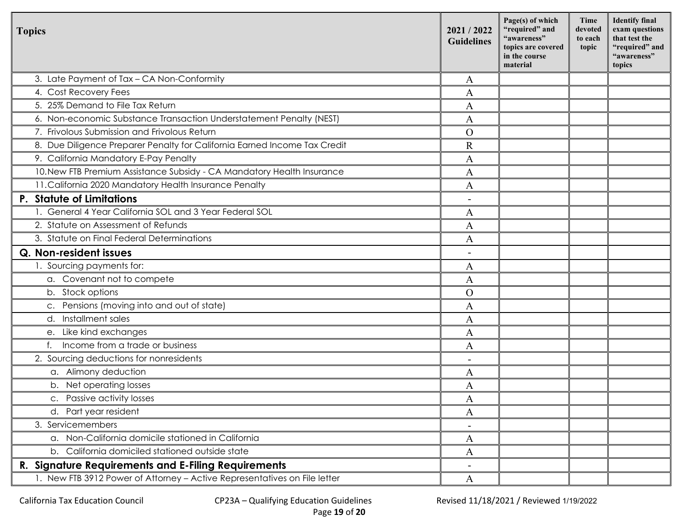| <b>Topics</b>                                                             | 2021/2022<br><b>Guidelines</b> | Page(s) of which<br>"required" and<br>"awareness"<br>topics are covered<br>in the course<br>material | Time<br>devoted<br>to each<br>topic | <b>Identify final</b><br>exam questions<br>that test the<br>"required" and<br>"awareness"<br>topics |
|---------------------------------------------------------------------------|--------------------------------|------------------------------------------------------------------------------------------------------|-------------------------------------|-----------------------------------------------------------------------------------------------------|
| 3. Late Payment of Tax - CA Non-Conformity                                | A                              |                                                                                                      |                                     |                                                                                                     |
| 4. Cost Recovery Fees                                                     | A                              |                                                                                                      |                                     |                                                                                                     |
| 5. 25% Demand to File Tax Return                                          | $\mathbf{A}$                   |                                                                                                      |                                     |                                                                                                     |
| 6. Non-economic Substance Transaction Understatement Penalty (NEST)       | $\mathbf{A}$                   |                                                                                                      |                                     |                                                                                                     |
| 7. Frivolous Submission and Frivolous Return                              | $\mathbf O$                    |                                                                                                      |                                     |                                                                                                     |
| 8. Due Diligence Preparer Penalty for California Earned Income Tax Credit | $\mathbf R$                    |                                                                                                      |                                     |                                                                                                     |
| 9. California Mandatory E-Pay Penalty                                     | A                              |                                                                                                      |                                     |                                                                                                     |
| 10. New FTB Premium Assistance Subsidy - CA Mandatory Health Insurance    | $\mathbf{A}$                   |                                                                                                      |                                     |                                                                                                     |
| 11. California 2020 Mandatory Health Insurance Penalty                    | A                              |                                                                                                      |                                     |                                                                                                     |
| P. Statute of Limitations                                                 |                                |                                                                                                      |                                     |                                                                                                     |
| 1. General 4 Year California SOL and 3 Year Federal SOL                   | $\mathbf{A}$                   |                                                                                                      |                                     |                                                                                                     |
| 2. Statute on Assessment of Refunds                                       | $\mathbf{A}$                   |                                                                                                      |                                     |                                                                                                     |
| 3. Statute on Final Federal Determinations                                | A                              |                                                                                                      |                                     |                                                                                                     |
| Q. Non-resident issues                                                    | $\overline{\phantom{0}}$       |                                                                                                      |                                     |                                                                                                     |
| 1. Sourcing payments for:                                                 | A                              |                                                                                                      |                                     |                                                                                                     |
| a. Covenant not to compete                                                | $\mathbf{A}$                   |                                                                                                      |                                     |                                                                                                     |
| b. Stock options                                                          | $\Omega$                       |                                                                                                      |                                     |                                                                                                     |
| c. Pensions (moving into and out of state)                                | $\mathbf{A}$                   |                                                                                                      |                                     |                                                                                                     |
| Installment sales<br>d.                                                   | A                              |                                                                                                      |                                     |                                                                                                     |
| e. Like kind exchanges                                                    | A                              |                                                                                                      |                                     |                                                                                                     |
| Income from a trade or business<br>f.                                     | A                              |                                                                                                      |                                     |                                                                                                     |
| 2. Sourcing deductions for nonresidents                                   |                                |                                                                                                      |                                     |                                                                                                     |
| a. Alimony deduction                                                      | A                              |                                                                                                      |                                     |                                                                                                     |
| b. Net operating losses                                                   | A                              |                                                                                                      |                                     |                                                                                                     |
| Passive activity losses<br>$C_{\star}$                                    | A                              |                                                                                                      |                                     |                                                                                                     |
| d. Part year resident                                                     | $\mathbf{A}$                   |                                                                                                      |                                     |                                                                                                     |
| 3. Servicemembers                                                         |                                |                                                                                                      |                                     |                                                                                                     |
| a. Non-California domicile stationed in California                        | $\mathbf{A}$                   |                                                                                                      |                                     |                                                                                                     |
| b. California domiciled stationed outside state                           | $\mathbf{A}$                   |                                                                                                      |                                     |                                                                                                     |
| R. Signature Requirements and E-Filing Requirements                       | ۰                              |                                                                                                      |                                     |                                                                                                     |
| 1. New FTB 3912 Power of Attorney - Active Representatives on File letter | $\mathbf{A}$                   |                                                                                                      |                                     |                                                                                                     |